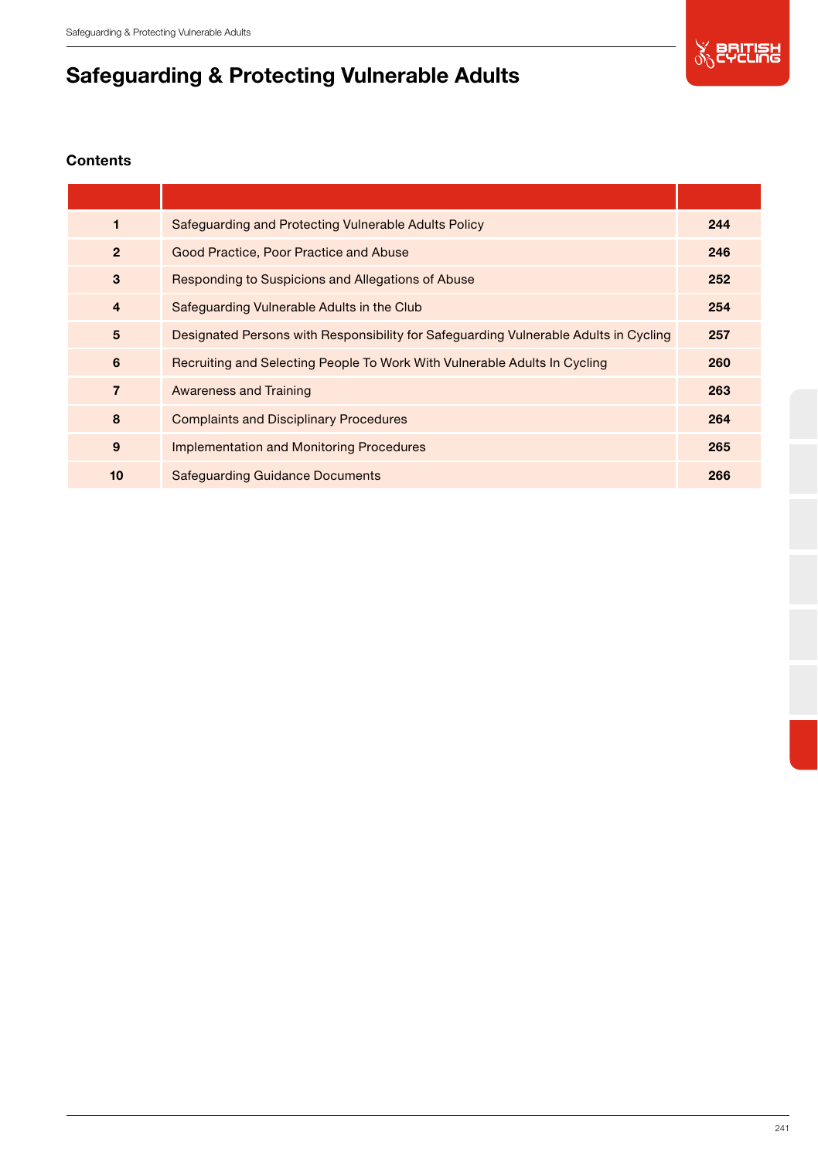# Safeguarding & Protecting Vulnerable Adults

# **Contents**

| 1              | Safeguarding and Protecting Vulnerable Adults Policy                                 | 244 |
|----------------|--------------------------------------------------------------------------------------|-----|
| $\overline{2}$ | Good Practice, Poor Practice and Abuse                                               | 246 |
| 3              | Responding to Suspicions and Allegations of Abuse                                    | 252 |
| $\overline{4}$ | Safeguarding Vulnerable Adults in the Club                                           | 254 |
| 5              | Designated Persons with Responsibility for Safeguarding Vulnerable Adults in Cycling | 257 |
| 6              | Recruiting and Selecting People To Work With Vulnerable Adults In Cycling            | 260 |
| $\overline{7}$ | Awareness and Training                                                               | 263 |
| 8              | <b>Complaints and Disciplinary Procedures</b>                                        | 264 |
| 9              | <b>Implementation and Monitoring Procedures</b>                                      | 265 |
| 10             | <b>Safequarding Guidance Documents</b>                                               | 266 |

**SEPTISH**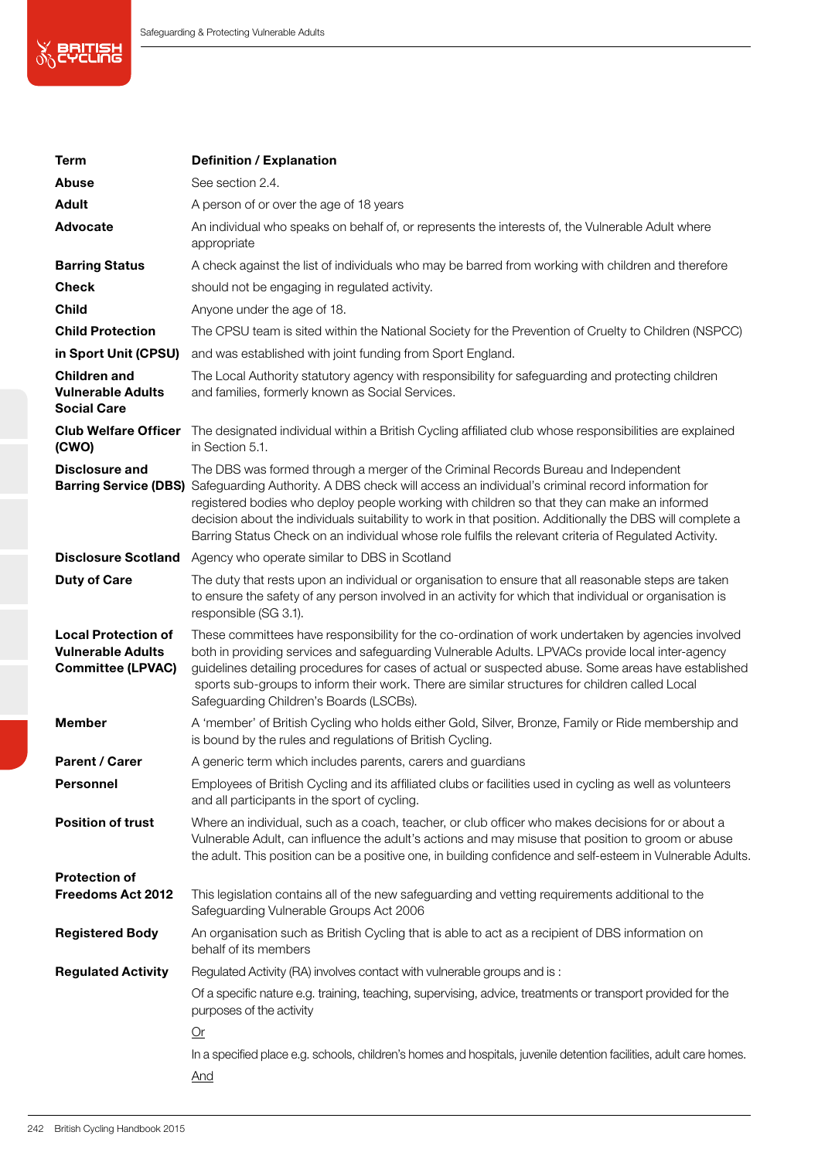

Term Definition / Explanation Abuse See section 2.4.

| Adult                                                                              | A person of or over the age of 18 years                                                                                                                                                                                                                                                                                                                                                                                                                                                                                          |  |
|------------------------------------------------------------------------------------|----------------------------------------------------------------------------------------------------------------------------------------------------------------------------------------------------------------------------------------------------------------------------------------------------------------------------------------------------------------------------------------------------------------------------------------------------------------------------------------------------------------------------------|--|
| Advocate                                                                           | An individual who speaks on behalf of, or represents the interests of, the Vulnerable Adult where<br>appropriate                                                                                                                                                                                                                                                                                                                                                                                                                 |  |
| <b>Barring Status</b>                                                              | A check against the list of individuals who may be barred from working with children and therefore                                                                                                                                                                                                                                                                                                                                                                                                                               |  |
| Check                                                                              | should not be engaging in regulated activity.                                                                                                                                                                                                                                                                                                                                                                                                                                                                                    |  |
| Child                                                                              | Anyone under the age of 18.                                                                                                                                                                                                                                                                                                                                                                                                                                                                                                      |  |
| <b>Child Protection</b>                                                            | The CPSU team is sited within the National Society for the Prevention of Cruelty to Children (NSPCC)                                                                                                                                                                                                                                                                                                                                                                                                                             |  |
| in Sport Unit (CPSU)                                                               | and was established with joint funding from Sport England.                                                                                                                                                                                                                                                                                                                                                                                                                                                                       |  |
| <b>Children and</b><br><b>Vulnerable Adults</b><br><b>Social Care</b>              | The Local Authority statutory agency with responsibility for safeguarding and protecting children<br>and families, formerly known as Social Services.                                                                                                                                                                                                                                                                                                                                                                            |  |
| (CWO)                                                                              | <b>Club Welfare Officer</b> The designated individual within a British Cycling affiliated club whose responsibilities are explained<br>in Section 5.1.                                                                                                                                                                                                                                                                                                                                                                           |  |
| Disclosure and                                                                     | The DBS was formed through a merger of the Criminal Records Bureau and Independent<br>Barring Service (DBS) Safeguarding Authority. A DBS check will access an individual's criminal record information for<br>registered bodies who deploy people working with children so that they can make an informed<br>decision about the individuals suitability to work in that position. Additionally the DBS will complete a<br>Barring Status Check on an individual whose role fulfils the relevant criteria of Regulated Activity. |  |
|                                                                                    | <b>Disclosure Scotland</b> Agency who operate similar to DBS in Scotland                                                                                                                                                                                                                                                                                                                                                                                                                                                         |  |
| <b>Duty of Care</b>                                                                | The duty that rests upon an individual or organisation to ensure that all reasonable steps are taken<br>to ensure the safety of any person involved in an activity for which that individual or organisation is<br>responsible (SG 3.1).                                                                                                                                                                                                                                                                                         |  |
| <b>Local Protection of</b><br><b>Vulnerable Adults</b><br><b>Committee (LPVAC)</b> | These committees have responsibility for the co-ordination of work undertaken by agencies involved<br>both in providing services and safeguarding Vulnerable Adults. LPVACs provide local inter-agency<br>guidelines detailing procedures for cases of actual or suspected abuse. Some areas have established<br>sports sub-groups to inform their work. There are similar structures for children called Local<br>Safeguarding Children's Boards (LSCBs).                                                                       |  |
| Member                                                                             | A 'member' of British Cycling who holds either Gold, Silver, Bronze, Family or Ride membership and<br>is bound by the rules and regulations of British Cycling.                                                                                                                                                                                                                                                                                                                                                                  |  |
| <b>Parent / Carer</b>                                                              | A generic term which includes parents, carers and guardians                                                                                                                                                                                                                                                                                                                                                                                                                                                                      |  |
| Personnel                                                                          | Employees of British Cycling and its affiliated clubs or facilities used in cycling as well as volunteers<br>and all participants in the sport of cycling.                                                                                                                                                                                                                                                                                                                                                                       |  |
| <b>Position of trust</b>                                                           | Where an individual, such as a coach, teacher, or club officer who makes decisions for or about a<br>Vulnerable Adult, can influence the adult's actions and may misuse that position to groom or abuse<br>the adult. This position can be a positive one, in building confidence and self-esteem in Vulnerable Adults.                                                                                                                                                                                                          |  |
| <b>Protection of</b><br>Freedoms Act 2012                                          | This legislation contains all of the new safeguarding and vetting requirements additional to the<br>Safeguarding Vulnerable Groups Act 2006                                                                                                                                                                                                                                                                                                                                                                                      |  |
| <b>Registered Body</b>                                                             | An organisation such as British Cycling that is able to act as a recipient of DBS information on<br>behalf of its members                                                                                                                                                                                                                                                                                                                                                                                                        |  |
| <b>Regulated Activity</b>                                                          | Regulated Activity (RA) involves contact with vulnerable groups and is:                                                                                                                                                                                                                                                                                                                                                                                                                                                          |  |
|                                                                                    | Of a specific nature e.g. training, teaching, supervising, advice, treatments or transport provided for the<br>purposes of the activity                                                                                                                                                                                                                                                                                                                                                                                          |  |
|                                                                                    | Qr                                                                                                                                                                                                                                                                                                                                                                                                                                                                                                                               |  |
|                                                                                    | In a specified place e.g. schools, children's homes and hospitals, juvenile detention facilities, adult care homes.<br>And                                                                                                                                                                                                                                                                                                                                                                                                       |  |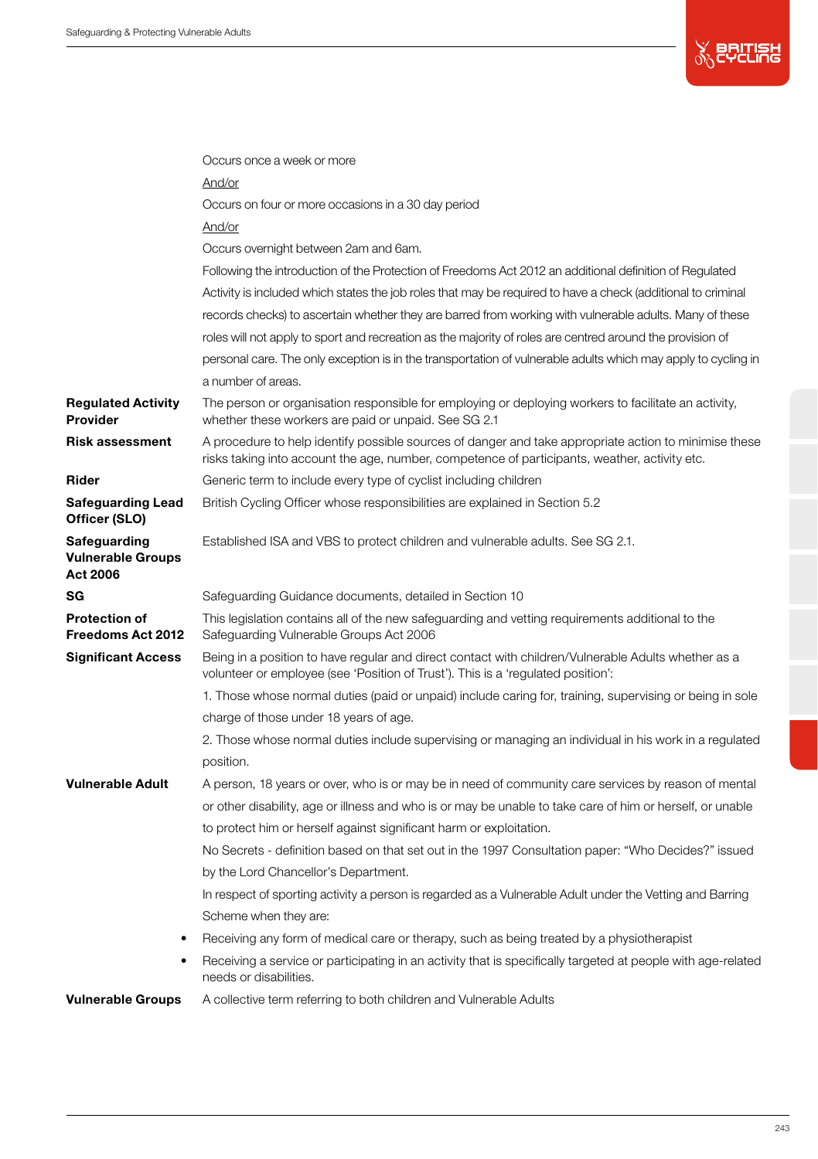

|                                                      | Occurs once a week or more                                                                                                                                                                             |
|------------------------------------------------------|--------------------------------------------------------------------------------------------------------------------------------------------------------------------------------------------------------|
|                                                      | And/or                                                                                                                                                                                                 |
|                                                      | Occurs on four or more occasions in a 30 day period                                                                                                                                                    |
|                                                      | And/or                                                                                                                                                                                                 |
|                                                      | Occurs overnight between 2am and 6am.                                                                                                                                                                  |
|                                                      | Following the introduction of the Protection of Freedoms Act 2012 an additional definition of Regulated                                                                                                |
|                                                      | Activity is included which states the job roles that may be required to have a check (additional to criminal                                                                                           |
|                                                      | records checks) to ascertain whether they are barred from working with vulnerable adults. Many of these                                                                                                |
|                                                      | roles will not apply to sport and recreation as the majority of roles are centred around the provision of                                                                                              |
|                                                      | personal care. The only exception is in the transportation of vulnerable adults which may apply to cycling in                                                                                          |
|                                                      | a number of areas.                                                                                                                                                                                     |
| <b>Regulated Activity</b><br>Provider                | The person or organisation responsible for employing or deploying workers to facilitate an activity,<br>whether these workers are paid or unpaid. See SG 2.1                                           |
| <b>Risk assessment</b>                               | A procedure to help identify possible sources of danger and take appropriate action to minimise these<br>risks taking into account the age, number, competence of participants, weather, activity etc. |
| Rider                                                | Generic term to include every type of cyclist including children                                                                                                                                       |
| <b>Safeguarding Lead</b><br>Officer (SLO)            | British Cycling Officer whose responsibilities are explained in Section 5.2                                                                                                                            |
| Safeguarding<br><b>Vulnerable Groups</b><br>Act 2006 | Established ISA and VBS to protect children and vulnerable adults. See SG 2.1.                                                                                                                         |
| SG                                                   | Safeguarding Guidance documents, detailed in Section 10                                                                                                                                                |
| <b>Protection of</b><br>Freedoms Act 2012            | This legislation contains all of the new safeguarding and vetting requirements additional to the<br>Safeguarding Vulnerable Groups Act 2006                                                            |
| <b>Significant Access</b>                            | Being in a position to have regular and direct contact with children/Vulnerable Adults whether as a<br>volunteer or employee (see 'Position of Trust'). This is a 'requlated position':                |
|                                                      | 1. Those whose normal duties (paid or unpaid) include caring for, training, supervising or being in sole                                                                                               |
|                                                      | charge of those under 18 years of age.                                                                                                                                                                 |
|                                                      | 2. Those whose normal duties include supervising or managing an individual in his work in a regulated<br>position.                                                                                     |
| <b>Vulnerable Adult</b>                              | A person, 18 years or over, who is or may be in need of community care services by reason of mental                                                                                                    |
|                                                      | or other disability, age or illness and who is or may be unable to take care of him or herself, or unable                                                                                              |
|                                                      | to protect him or herself against significant harm or exploitation.                                                                                                                                    |
|                                                      | No Secrets - definition based on that set out in the 1997 Consultation paper: "Who Decides?" issued                                                                                                    |
|                                                      | by the Lord Chancellor's Department.                                                                                                                                                                   |
|                                                      | In respect of sporting activity a person is regarded as a Vulnerable Adult under the Vetting and Barring                                                                                               |
|                                                      | Scheme when they are:                                                                                                                                                                                  |
|                                                      | Receiving any form of medical care or therapy, such as being treated by a physiotherapist                                                                                                              |
|                                                      |                                                                                                                                                                                                        |
|                                                      | Receiving a service or participating in an activity that is specifically targeted at people with age-related<br>needs or disabilities.                                                                 |

243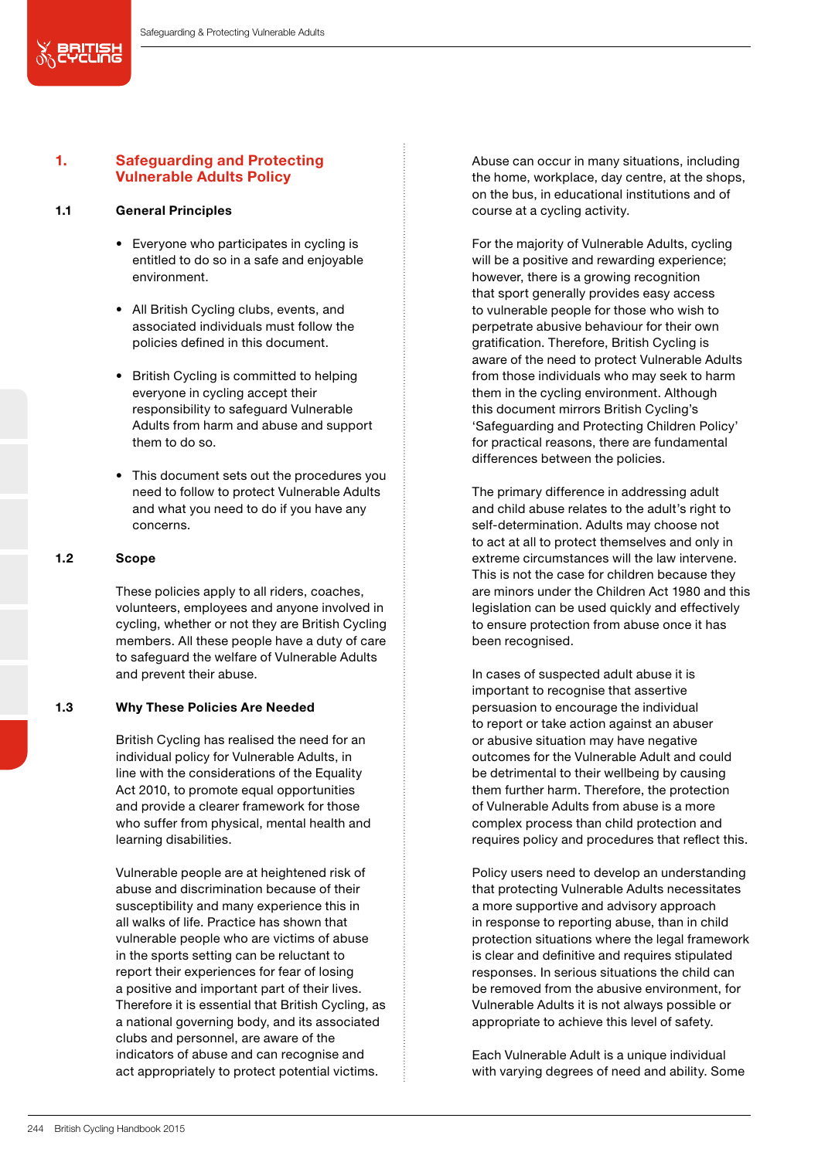# 1. Safeguarding and Protecting Vulnerable Adults Policy

### 1.1 General Principles

- Everyone who participates in cycling is entitled to do so in a safe and enjoyable environment.
- All British Cycling clubs, events, and associated individuals must follow the policies defined in this document.
- British Cycling is committed to helping everyone in cycling accept their responsibility to safeguard Vulnerable Adults from harm and abuse and support them to do so.
- This document sets out the procedures you need to follow to protect Vulnerable Adults and what you need to do if you have any concerns.

#### 1.2 Scope

These policies apply to all riders, coaches, volunteers, employees and anyone involved in cycling, whether or not they are British Cycling members. All these people have a duty of care to safeguard the welfare of Vulnerable Adults and prevent their abuse.

#### 1.3 Why These Policies Are Needed

British Cycling has realised the need for an individual policy for Vulnerable Adults, in line with the considerations of the Equality Act 2010, to promote equal opportunities and provide a clearer framework for those who suffer from physical, mental health and learning disabilities.

Vulnerable people are at heightened risk of abuse and discrimination because of their susceptibility and many experience this in all walks of life. Practice has shown that vulnerable people who are victims of abuse in the sports setting can be reluctant to report their experiences for fear of losing a positive and important part of their lives. Therefore it is essential that British Cycling, as a national governing body, and its associated clubs and personnel, are aware of the indicators of abuse and can recognise and act appropriately to protect potential victims.

Abuse can occur in many situations, including the home, workplace, day centre, at the shops, on the bus, in educational institutions and of course at a cycling activity.

For the majority of Vulnerable Adults, cycling will be a positive and rewarding experience: however, there is a growing recognition that sport generally provides easy access to vulnerable people for those who wish to perpetrate abusive behaviour for their own gratification. Therefore, British Cycling is aware of the need to protect Vulnerable Adults from those individuals who may seek to harm them in the cycling environment. Although this document mirrors British Cycling's 'Safeguarding and Protecting Children Policy' for practical reasons, there are fundamental differences between the policies.

The primary difference in addressing adult and child abuse relates to the adult's right to self-determination. Adults may choose not to act at all to protect themselves and only in extreme circumstances will the law intervene. This is not the case for children because they are minors under the Children Act 1980 and this legislation can be used quickly and effectively to ensure protection from abuse once it has been recognised.

In cases of suspected adult abuse it is important to recognise that assertive persuasion to encourage the individual to report or take action against an abuser or abusive situation may have negative outcomes for the Vulnerable Adult and could be detrimental to their wellbeing by causing them further harm. Therefore, the protection of Vulnerable Adults from abuse is a more complex process than child protection and requires policy and procedures that reflect this.

Policy users need to develop an understanding that protecting Vulnerable Adults necessitates a more supportive and advisory approach in response to reporting abuse, than in child protection situations where the legal framework is clear and definitive and requires stipulated responses. In serious situations the child can be removed from the abusive environment, for Vulnerable Adults it is not always possible or appropriate to achieve this level of safety.

Each Vulnerable Adult is a unique individual with varying degrees of need and ability. Some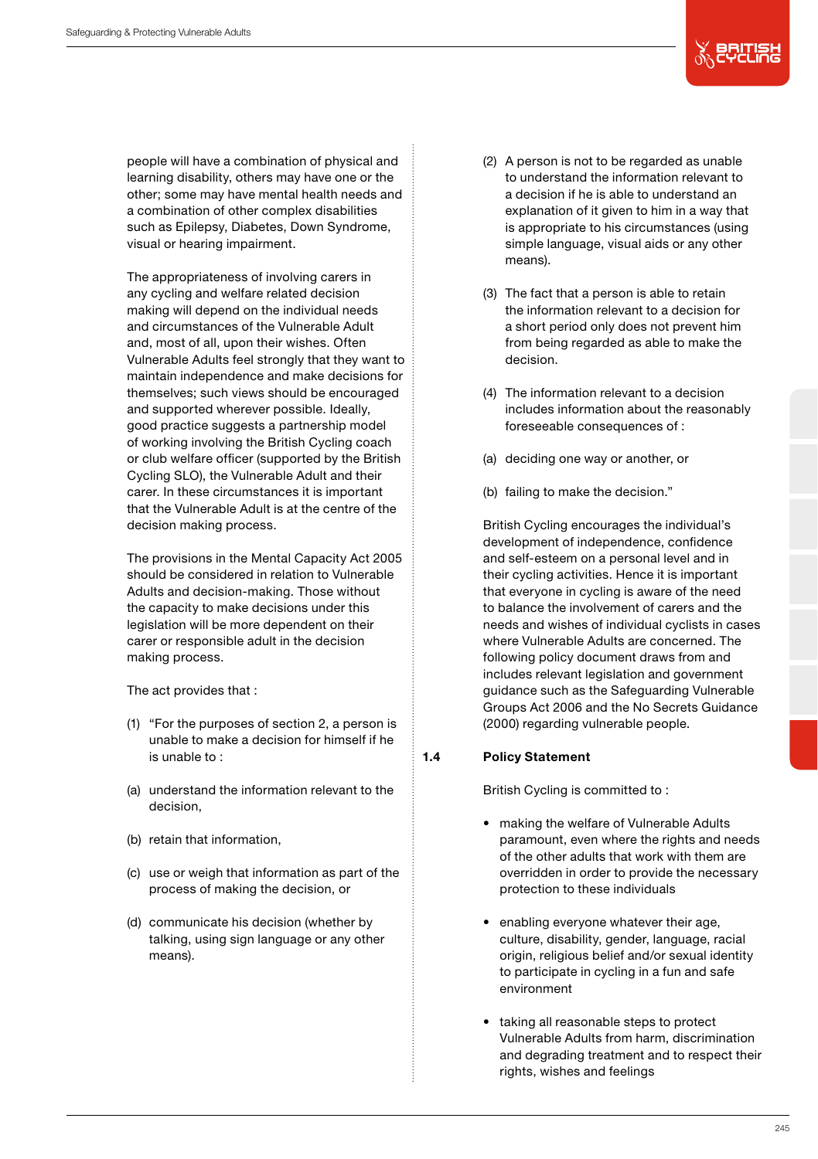people will have a combination of physical and learning disability, others may have one or the other; some may have mental health needs and a combination of other complex disabilities such as Epilepsy, Diabetes, Down Syndrome, visual or hearing impairment.

The appropriateness of involving carers in any cycling and welfare related decision making will depend on the individual needs and circumstances of the Vulnerable Adult and, most of all, upon their wishes. Often Vulnerable Adults feel strongly that they want to maintain independence and make decisions for themselves; such views should be encouraged and supported wherever possible. Ideally, good practice suggests a partnership model of working involving the British Cycling coach or club welfare officer (supported by the British Cycling SLO), the Vulnerable Adult and their carer. In these circumstances it is important that the Vulnerable Adult is at the centre of the decision making process.

The provisions in the Mental Capacity Act 2005 should be considered in relation to Vulnerable Adults and decision-making. Those without the capacity to make decisions under this legislation will be more dependent on their carer or responsible adult in the decision making process.

The act provides that :

- (1) "For the purposes of section 2, a person is unable to make a decision for himself if he is unable to :
- (a) understand the information relevant to the decision,
- (b) retain that information,
- (c) use or weigh that information as part of the process of making the decision, or
- (d) communicate his decision (whether by talking, using sign language or any other means).
- (2) A person is not to be regarded as unable to understand the information relevant to a decision if he is able to understand an explanation of it given to him in a way that is appropriate to his circumstances (using simple language, visual aids or any other means).
- (3) The fact that a person is able to retain the information relevant to a decision for a short period only does not prevent him from being regarded as able to make the decision.
- (4) The information relevant to a decision includes information about the reasonably foreseeable consequences of :
- (a) deciding one way or another, or
- (b) failing to make the decision."

British Cycling encourages the individual's development of independence, confidence and self-esteem on a personal level and in their cycling activities. Hence it is important that everyone in cycling is aware of the need to balance the involvement of carers and the needs and wishes of individual cyclists in cases where Vulnerable Adults are concerned. The following policy document draws from and includes relevant legislation and government guidance such as the Safeguarding Vulnerable Groups Act 2006 and the No Secrets Guidance (2000) regarding vulnerable people.

# 1.4 Policy Statement

British Cycling is committed to :

- making the welfare of Vulnerable Adults paramount, even where the rights and needs of the other adults that work with them are overridden in order to provide the necessary protection to these individuals
- enabling everyone whatever their age, culture, disability, gender, language, racial origin, religious belief and/or sexual identity to participate in cycling in a fun and safe environment
- taking all reasonable steps to protect Vulnerable Adults from harm, discrimination and degrading treatment and to respect their rights, wishes and feelings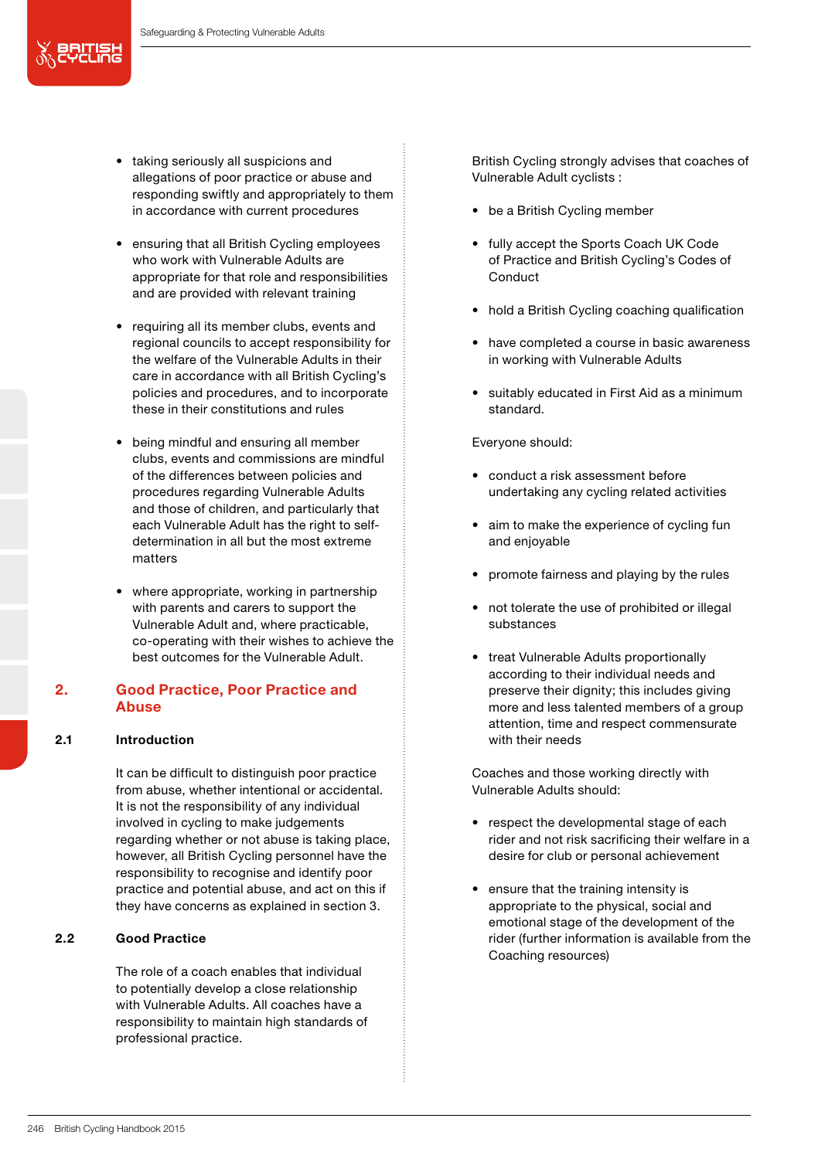- taking seriously all suspicions and allegations of poor practice or abuse and responding swiftly and appropriately to them in accordance with current procedures
- ensuring that all British Cycling employees who work with Vulnerable Adults are appropriate for that role and responsibilities and are provided with relevant training
- requiring all its member clubs, events and regional councils to accept responsibility for the welfare of the Vulnerable Adults in their care in accordance with all British Cycling's policies and procedures, and to incorporate these in their constitutions and rules
- being mindful and ensuring all member clubs, events and commissions are mindful of the differences between policies and procedures regarding Vulnerable Adults and those of children, and particularly that each Vulnerable Adult has the right to selfdetermination in all but the most extreme mattors
- where appropriate, working in partnership with parents and carers to support the Vulnerable Adult and, where practicable, co-operating with their wishes to achieve the best outcomes for the Vulnerable Adult.

# 2. Good Practice, Poor Practice and Abuse

# 2.1 Introduction

It can be difficult to distinguish poor practice from abuse, whether intentional or accidental. It is not the responsibility of any individual involved in cycling to make judgements regarding whether or not abuse is taking place, however, all British Cycling personnel have the responsibility to recognise and identify poor practice and potential abuse, and act on this if they have concerns as explained in section 3.

#### 2.2 Good Practice

The role of a coach enables that individual to potentially develop a close relationship with Vulnerable Adults. All coaches have a responsibility to maintain high standards of professional practice.

British Cycling strongly advises that coaches of Vulnerable Adult cyclists :

- be a British Cycling member
- fully accept the Sports Coach UK Code of Practice and British Cycling's Codes of Conduct
- hold a British Cycling coaching qualification
- have completed a course in basic awareness in working with Vulnerable Adults
- suitably educated in First Aid as a minimum standard.

#### Everyone should:

- conduct a risk assessment before undertaking any cycling related activities
- aim to make the experience of cycling fun and enjoyable
- promote fairness and playing by the rules
- not tolerate the use of prohibited or illegal substances
- treat Vulnerable Adults proportionally according to their individual needs and preserve their dignity; this includes giving more and less talented members of a group attention, time and respect commensurate with their needs

Coaches and those working directly with Vulnerable Adults should:

- respect the developmental stage of each rider and not risk sacrificing their welfare in a desire for club or personal achievement
- ensure that the training intensity is appropriate to the physical, social and emotional stage of the development of the rider (further information is available from the Coaching resources)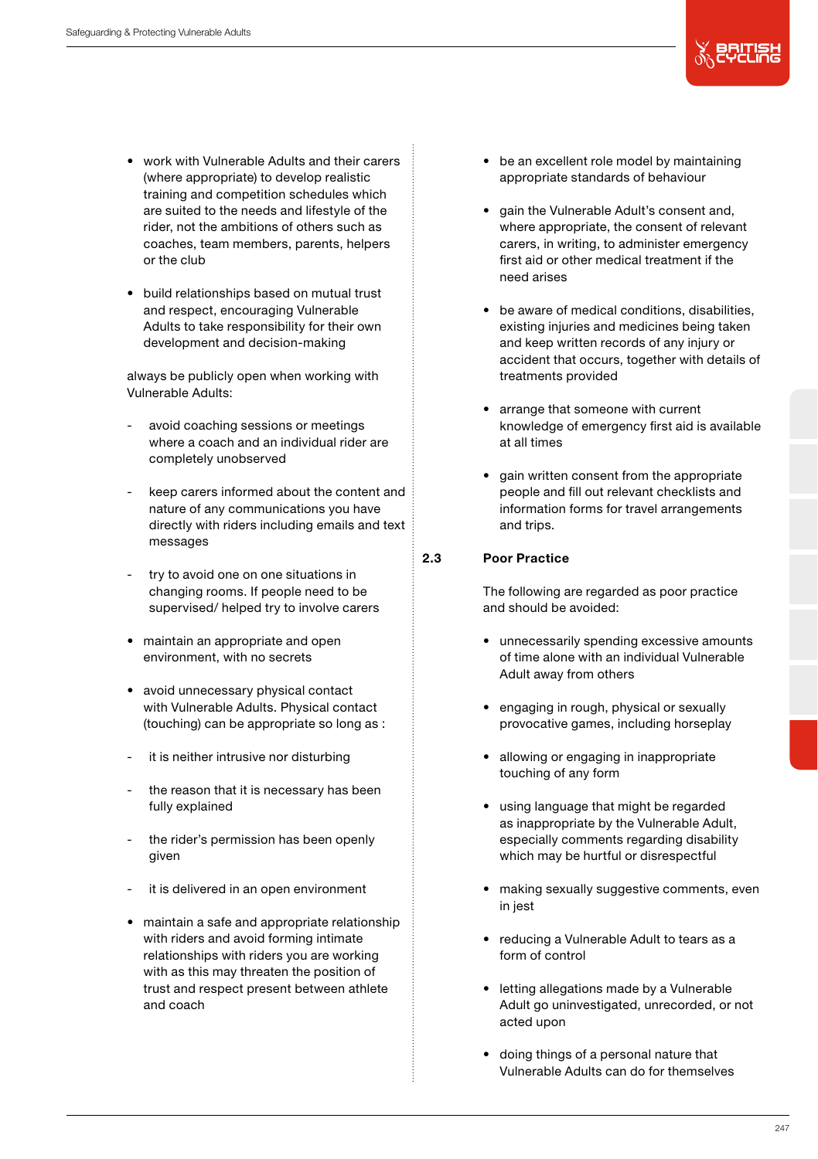- work with Vulnerable Adults and their carers (where appropriate) to develop realistic training and competition schedules which are suited to the needs and lifestyle of the rider, not the ambitions of others such as coaches, team members, parents, helpers or the club
- build relationships based on mutual trust and respect, encouraging Vulnerable Adults to take responsibility for their own development and decision-making

always be publicly open when working with Vulnerable Adults:

- avoid coaching sessions or meetings where a coach and an individual rider are completely unobserved
- keep carers informed about the content and nature of any communications you have directly with riders including emails and text messages
- try to avoid one on one situations in changing rooms. If people need to be supervised/ helped try to involve carers
- maintain an appropriate and open environment, with no secrets
- avoid unnecessary physical contact with Vulnerable Adults. Physical contact (touching) can be appropriate so long as :
- it is neither intrusive nor disturbing
- the reason that it is necessary has been fully explained
- the rider's permission has been openly given
- it is delivered in an open environment
- maintain a safe and appropriate relationship with riders and avoid forming intimate relationships with riders you are working with as this may threaten the position of trust and respect present between athlete and coach
- be an excellent role model by maintaining appropriate standards of behaviour
- gain the Vulnerable Adult's consent and. where appropriate, the consent of relevant carers, in writing, to administer emergency first aid or other medical treatment if the need arises
- be aware of medical conditions, disabilities existing injuries and medicines being taken and keep written records of any injury or accident that occurs, together with details of treatments provided
- arrange that someone with current knowledge of emergency first aid is available at all times
- gain written consent from the appropriate people and fill out relevant checklists and information forms for travel arrangements and trips.

# 2.3 Poor Practice

The following are regarded as poor practice and should be avoided:

- unnecessarily spending excessive amounts of time alone with an individual Vulnerable Adult away from others
- engaging in rough, physical or sexually provocative games, including horseplay
- allowing or engaging in inappropriate touching of any form
- using language that might be regarded as inappropriate by the Vulnerable Adult, especially comments regarding disability which may be hurtful or disrespectful
- making sexually suggestive comments, even in jest
- reducing a Vulnerable Adult to tears as a form of control
- letting allegations made by a Vulnerable Adult go uninvestigated, unrecorded, or not acted upon
- doing things of a personal nature that Vulnerable Adults can do for themselves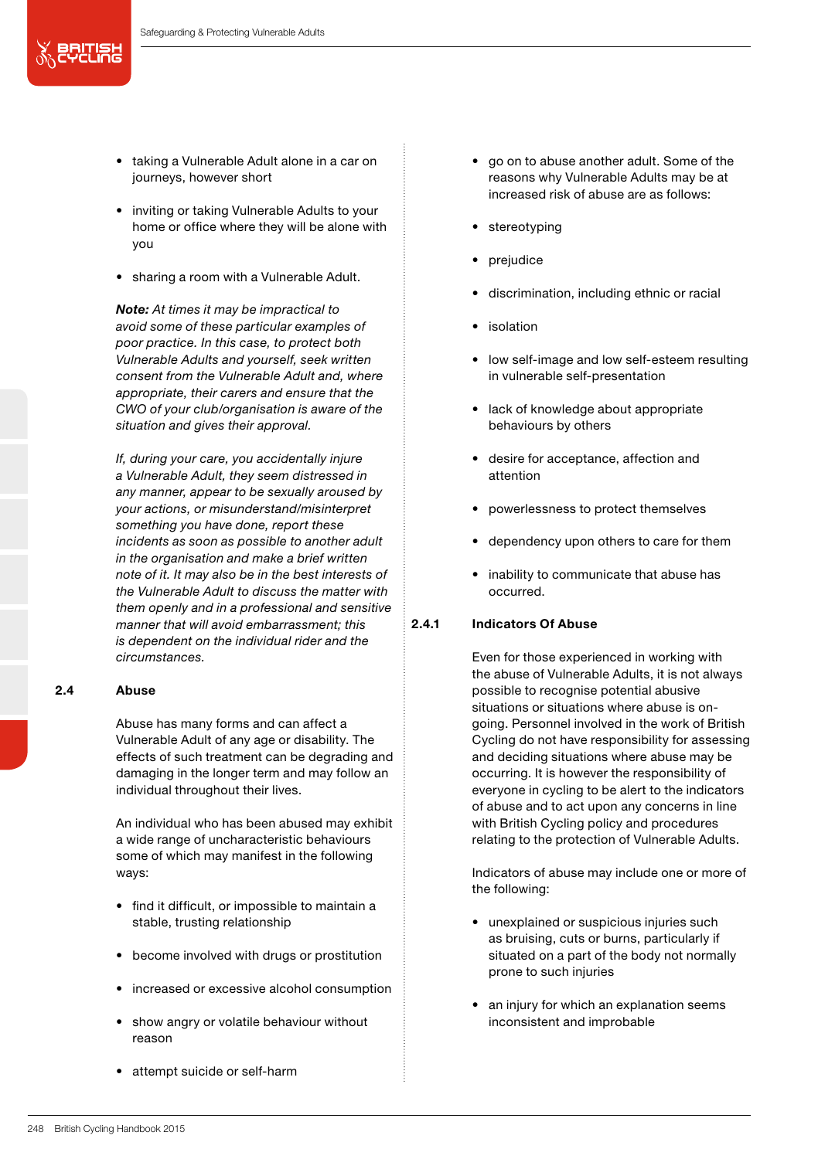- taking a Vulnerable Adult alone in a car on journeys, however short
- inviting or taking Vulnerable Adults to your home or office where they will be alone with you
- sharing a room with a Vulnerable Adult.

*Note: At times it may be impractical to avoid some of these particular examples of poor practice. In this case, to protect both Vulnerable Adults and yourself, seek written consent from the Vulnerable Adult and, where appropriate, their carers and ensure that the CWO of your club/organisation is aware of the situation and gives their approval.* 

*If, during your care, you accidentally injure a Vulnerable Adult, they seem distressed in any manner, appear to be sexually aroused by your actions, or misunderstand/misinterpret something you have done, report these incidents as soon as possible to another adult in the organisation and make a brief written note of it. It may also be in the best interests of the Vulnerable Adult to discuss the matter with them openly and in a professional and sensitive manner that will avoid embarrassment; this is dependent on the individual rider and the circumstances.* 

#### 2.4 Abuse

义思尔思

Abuse has many forms and can affect a Vulnerable Adult of any age or disability. The effects of such treatment can be degrading and damaging in the longer term and may follow an individual throughout their lives.

An individual who has been abused may exhibit a wide range of uncharacteristic behaviours some of which may manifest in the following ways:

- find it difficult, or impossible to maintain a stable, trusting relationship
- become involved with drugs or prostitution
- increased or excessive alcohol consumption
- show angry or volatile behaviour without reason
- attempt suicide or self-harm
- go on to abuse another adult. Some of the reasons why Vulnerable Adults may be at increased risk of abuse are as follows:
- stereotyping
- prejudice
- discrimination, including ethnic or racial
- isolation
- low self-image and low self-esteem resulting in vulnerable self-presentation
- lack of knowledge about appropriate behaviours by others
- desire for acceptance, affection and attention
- powerlessness to protect themselves
- dependency upon others to care for them
- inability to communicate that abuse has occurred.

### 2.4.1 Indicators Of Abuse

Even for those experienced in working with the abuse of Vulnerable Adults, it is not always possible to recognise potential abusive situations or situations where abuse is ongoing. Personnel involved in the work of British Cycling do not have responsibility for assessing and deciding situations where abuse may be occurring. It is however the responsibility of everyone in cycling to be alert to the indicators of abuse and to act upon any concerns in line with British Cycling policy and procedures relating to the protection of Vulnerable Adults.

Indicators of abuse may include one or more of the following:

- unexplained or suspicious injuries such as bruising, cuts or burns, particularly if situated on a part of the body not normally prone to such injuries
- an injury for which an explanation seems inconsistent and improbable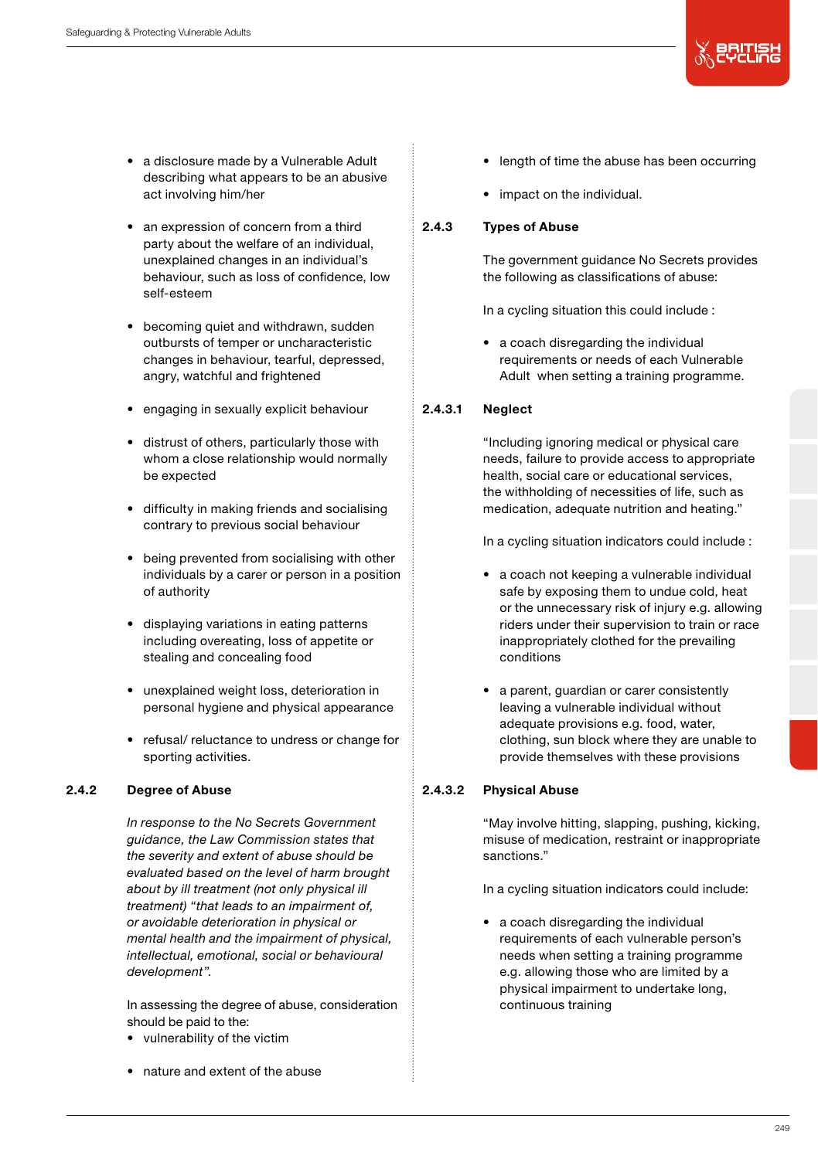

- a disclosure made by a Vulnerable Adult describing what appears to be an abusive act involving him/her
- an expression of concern from a third party about the welfare of an individual, unexplained changes in an individual's behaviour, such as loss of confidence, low self-esteem
- becoming quiet and withdrawn, sudden outbursts of temper or uncharacteristic changes in behaviour, tearful, depressed, angry, watchful and frightened
- engaging in sexually explicit behaviour
- distrust of others, particularly those with whom a close relationship would normally be expected
- difficulty in making friends and socialising contrary to previous social behaviour
- being prevented from socialising with other individuals by a carer or person in a position of authority
- displaying variations in eating patterns including overeating, loss of appetite or stealing and concealing food
- unexplained weight loss, deterioration in personal hygiene and physical appearance
- refusal/ reluctance to undress or change for sporting activities.

# 2.4.2 Degree of Abuse

*In response to the No Secrets Government guidance, the Law Commission states that the severity and extent of abuse should be evaluated based on the level of harm brought about by ill treatment (not only physical ill treatment) "that leads to an impairment of, or avoidable deterioration in physical or mental health and the impairment of physical, intellectual, emotional, social or behavioural development".*

In assessing the degree of abuse, consideration should be paid to the:

- vulnerability of the victim
- nature and extent of the abuse
- length of time the abuse has been occurring
- impact on the individual.

# 2.4.3 Types of Abuse

The government guidance No Secrets provides the following as classifications of abuse:

In a cycling situation this could include :

• a coach disregarding the individual requirements or needs of each Vulnerable Adult when setting a training programme.

# 2.4.3.1 Neglect

"Including ignoring medical or physical care needs, failure to provide access to appropriate health, social care or educational services, the withholding of necessities of life, such as medication, adequate nutrition and heating."

In a cycling situation indicators could include :

- a coach not keeping a vulnerable individual safe by exposing them to undue cold, heat or the unnecessary risk of injury e.g. allowing riders under their supervision to train or race inappropriately clothed for the prevailing conditions
- a parent, guardian or carer consistently leaving a vulnerable individual without adequate provisions e.g. food, water, clothing, sun block where they are unable to provide themselves with these provisions

# 2.4.3.2 Physical Abuse

"May involve hitting, slapping, pushing, kicking, misuse of medication, restraint or inappropriate sanctions."

In a cycling situation indicators could include:

• a coach disregarding the individual requirements of each vulnerable person's needs when setting a training programme e.g. allowing those who are limited by a physical impairment to undertake long, continuous training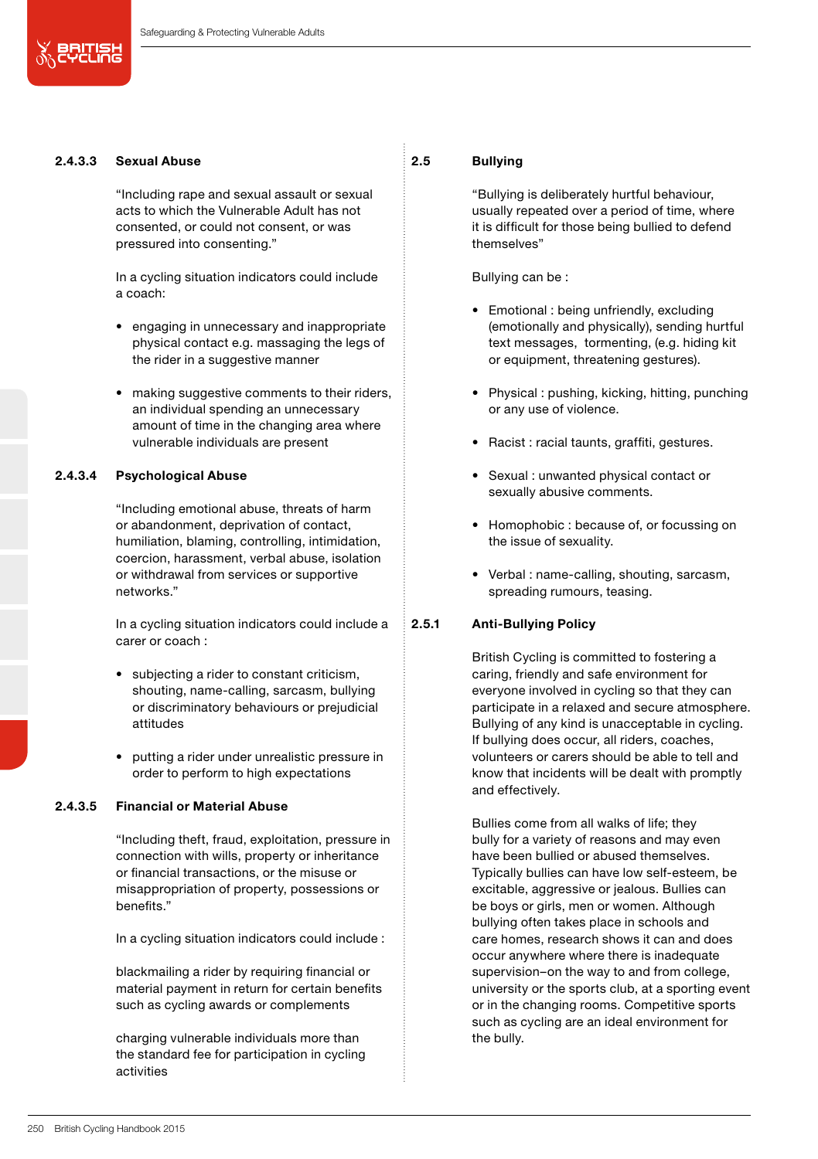### 2.4.3.3 Sexual Abuse

义思尔思

"Including rape and sexual assault or sexual acts to which the Vulnerable Adult has not consented, or could not consent, or was pressured into consenting."

In a cycling situation indicators could include a coach:

- engaging in unnecessary and inappropriate physical contact e.g. massaging the legs of the rider in a suggestive manner
- making suggestive comments to their riders, an individual spending an unnecessary amount of time in the changing area where vulnerable individuals are present

#### 2.4.3.4 Psychological Abuse

"Including emotional abuse, threats of harm or abandonment, deprivation of contact, humiliation, blaming, controlling, intimidation, coercion, harassment, verbal abuse, isolation or withdrawal from services or supportive networks."

In a cycling situation indicators could include a carer or coach :

- subjecting a rider to constant criticism, shouting, name-calling, sarcasm, bullying or discriminatory behaviours or prejudicial attitudes
- putting a rider under unrealistic pressure in order to perform to high expectations

#### 2.4.3.5 Financial or Material Abuse

"Including theft, fraud, exploitation, pressure in connection with wills, property or inheritance or financial transactions, or the misuse or misappropriation of property, possessions or benefits."

In a cycling situation indicators could include :

blackmailing a rider by requiring financial or material payment in return for certain benefits such as cycling awards or complements

charging vulnerable individuals more than the standard fee for participation in cycling activities

# 2.5 Bullying

"Bullying is deliberately hurtful behaviour, usually repeated over a period of time, where it is difficult for those being bullied to defend themselves"

Bullying can be :

- Emotional : being unfriendly, excluding (emotionally and physically), sending hurtful text messages, tormenting, (e.g. hiding kit or equipment, threatening gestures).
- Physical : pushing, kicking, hitting, punching or any use of violence.
- Racist : racial taunts, graffiti, gestures.
- Sexual : unwanted physical contact or sexually abusive comments.
- Homophobic : because of, or focussing on the issue of sexuality.
- Verbal : name-calling, shouting, sarcasm, spreading rumours, teasing.

#### 2.5.1 Anti-Bullying Policy

British Cycling is committed to fostering a caring, friendly and safe environment for everyone involved in cycling so that they can participate in a relaxed and secure atmosphere. Bullying of any kind is unacceptable in cycling. If bullying does occur, all riders, coaches, volunteers or carers should be able to tell and know that incidents will be dealt with promptly and effectively.

Bullies come from all walks of life; they bully for a variety of reasons and may even have been bullied or abused themselves. Typically bullies can have low self-esteem, be excitable, aggressive or jealous. Bullies can be boys or girls, men or women. Although bullying often takes place in schools and care homes, research shows it can and does occur anywhere where there is inadequate supervision–on the way to and from college, university or the sports club, at a sporting event or in the changing rooms. Competitive sports such as cycling are an ideal environment for the bully.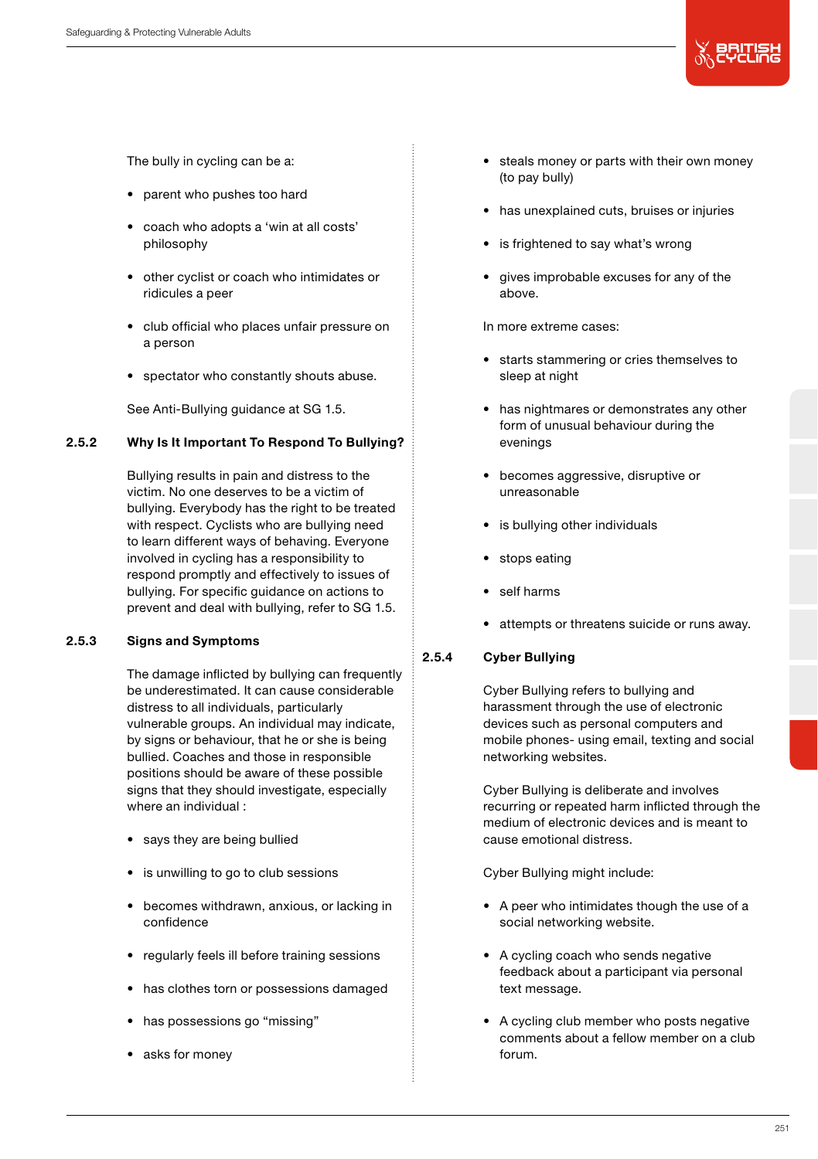

The bully in cycling can be a:

- parent who pushes too hard
- coach who adopts a 'win at all costs' philosophy
- other cyclist or coach who intimidates or ridicules a peer
- club official who places unfair pressure on a person
- spectator who constantly shouts abuse.

See Anti-Bullying guidance at SG 1.5.

# 2.5.2 Why Is It Important To Respond To Bullying?

Bullying results in pain and distress to the victim. No one deserves to be a victim of bullying. Everybody has the right to be treated with respect. Cyclists who are bullying need to learn different ways of behaving. Everyone involved in cycling has a responsibility to respond promptly and effectively to issues of bullying. For specific guidance on actions to prevent and deal with bullying, refer to SG 1.5.

# 2.5.3 Signs and Symptoms

The damage inflicted by bullying can frequently be underestimated. It can cause considerable distress to all individuals, particularly vulnerable groups. An individual may indicate, by signs or behaviour, that he or she is being bullied. Coaches and those in responsible positions should be aware of these possible signs that they should investigate, especially where an individual :

- says they are being bullied
- is unwilling to go to club sessions
- becomes withdrawn, anxious, or lacking in confidence
- regularly feels ill before training sessions
- has clothes torn or possessions damaged
- has possessions go "missing"
- asks for money
- steals money or parts with their own money (to pay bully)
- has unexplained cuts, bruises or injuries
- is frightened to say what's wrong
- gives improbable excuses for any of the above.

In more extreme cases:

- starts stammering or cries themselves to sleep at night
- has nightmares or demonstrates any other form of unusual behaviour during the evenings
- becomes aggressive, disruptive or unreasonable
- is bullying other individuals
- stops eating
- self harms
- attempts or threatens suicide or runs away.

# 2.5.4 Cyber Bullying

Cyber Bullying refers to bullying and harassment through the use of electronic devices such as personal computers and mobile phones- using email, texting and social networking websites.

Cyber Bullying is deliberate and involves recurring or repeated harm inflicted through the medium of electronic devices and is meant to cause emotional distress.

Cyber Bullying might include:

- A peer who intimidates though the use of a social networking website.
- A cycling coach who sends negative feedback about a participant via personal text message
- A cycling club member who posts negative comments about a fellow member on a club forum.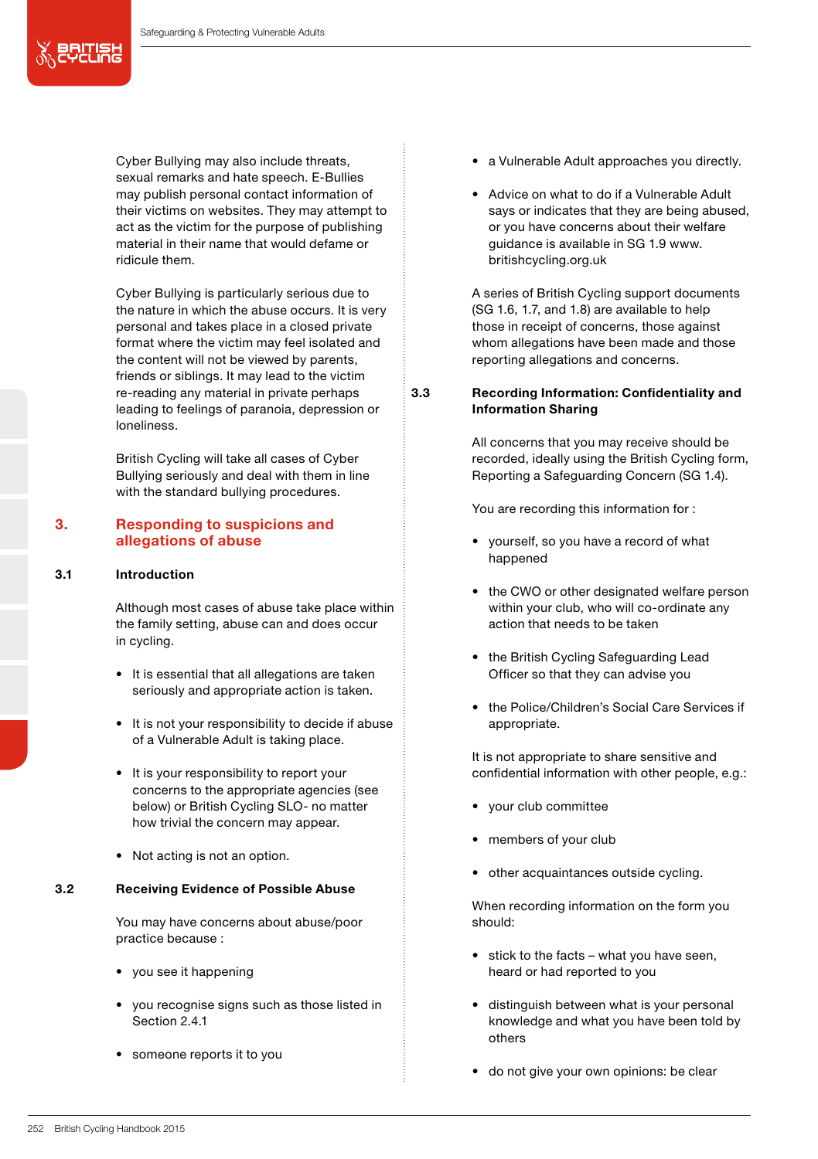Safeguarding & Protecting Vulnerable Adults

Cyber Bullying may also include threats, sexual remarks and hate speech. E-Bullies may publish personal contact information of their victims on websites. They may attempt to act as the victim for the purpose of publishing material in their name that would defame or ridicule them.

Cyber Bullying is particularly serious due to the nature in which the abuse occurs. It is very personal and takes place in a closed private format where the victim may feel isolated and the content will not be viewed by parents, friends or siblings. It may lead to the victim re-reading any material in private perhaps leading to feelings of paranoia, depression or loneliness.

British Cycling will take all cases of Cyber Bullying seriously and deal with them in line with the standard bullying procedures.

# 3. Responding to suspicions and allegations of abuse

### 3.1 Introduction

Although most cases of abuse take place within the family setting, abuse can and does occur in cycling.

- It is essential that all allegations are taken seriously and appropriate action is taken.
- It is not your responsibility to decide if abuse of a Vulnerable Adult is taking place.
- It is your responsibility to report your concerns to the appropriate agencies (see below) or British Cycling SLO- no matter how trivial the concern may appear.
- Not acting is not an option.

# 3.2 Receiving Evidence of Possible Abuse

You may have concerns about abuse/poor practice because :

- you see it happening
- you recognise signs such as those listed in Section 2.4.1
- someone reports it to you
- a Vulnerable Adult approaches you directly.
- Advice on what to do if a Vulnerable Adult says or indicates that they are being abused, or you have concerns about their welfare guidance is available in SG 1.9 www. britishcycling.org.uk

A series of British Cycling support documents (SG 1.6, 1.7, and 1.8) are available to help those in receipt of concerns, those against whom allegations have been made and those reporting allegations and concerns.

### 3.3 Recording Information: Confidentiality and Information Sharing

All concerns that you may receive should be recorded, ideally using the British Cycling form, Reporting a Safeguarding Concern (SG 1.4).

You are recording this information for :

- yourself, so you have a record of what happened
- the CWO or other designated welfare person within your club, who will co-ordinate any action that needs to be taken
- the British Cycling Safeguarding Lead Officer so that they can advise you
- the Police/Children's Social Care Services if appropriate.

It is not appropriate to share sensitive and confidential information with other people, e.g.:

- your club committee
- members of your club
- other acquaintances outside cycling.

When recording information on the form you should:

- stick to the facts what you have seen, heard or had reported to you
- distinguish between what is your personal knowledge and what you have been told by others
- do not give your own opinions: be clear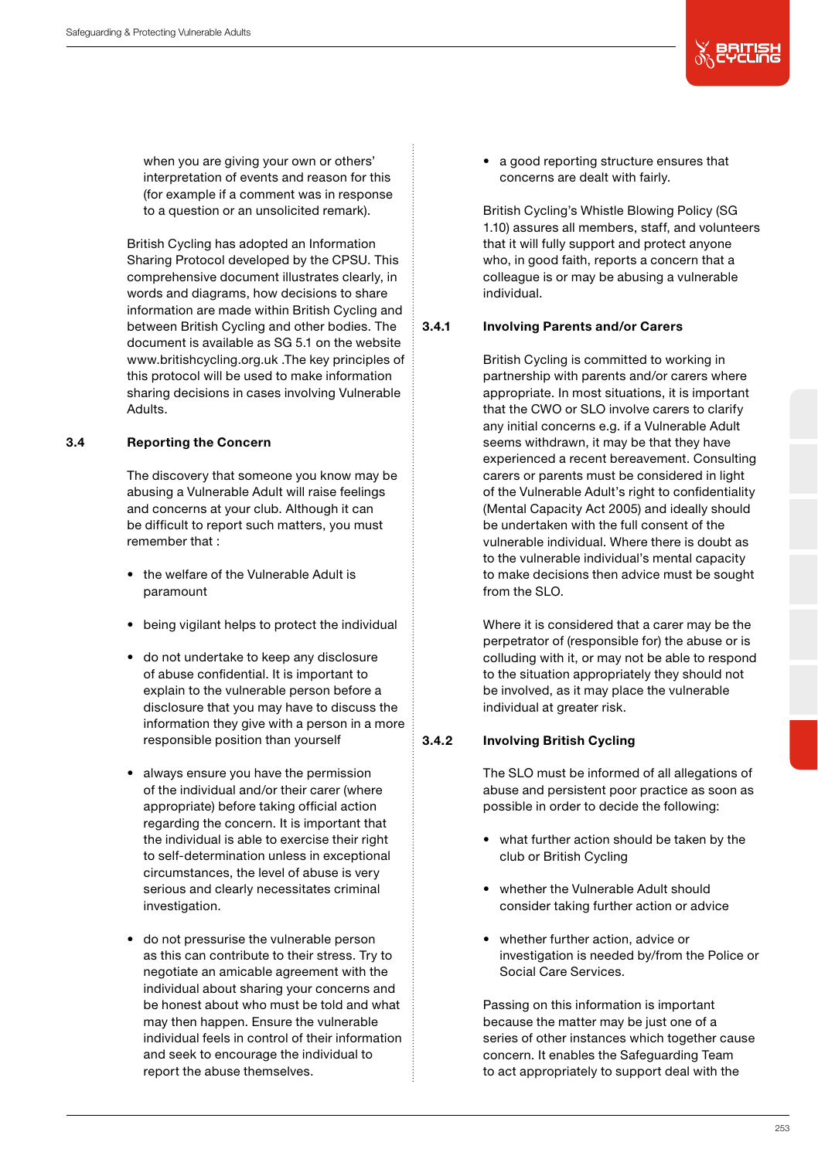

British Cycling has adopted an Information Sharing Protocol developed by the CPSU. This comprehensive document illustrates clearly, in words and diagrams, how decisions to share information are made within British Cycling and between British Cycling and other bodies. The document is available as SG 5.1 on the website www.britishcycling.org.uk .The key principles of this protocol will be used to make information sharing decisions in cases involving Vulnerable **Adults** 

# 3.4 Reporting the Concern

The discovery that someone you know may be abusing a Vulnerable Adult will raise feelings and concerns at your club. Although it can be difficult to report such matters, you must remember that :

- the welfare of the Vulnerable Adult is paramount
- being vigilant helps to protect the individual
- do not undertake to keep any disclosure of abuse confidential. It is important to explain to the vulnerable person before a disclosure that you may have to discuss the information they give with a person in a more responsible position than yourself
- always ensure you have the permission of the individual and/or their carer (where appropriate) before taking official action regarding the concern. It is important that the individual is able to exercise their right to self-determination unless in exceptional circumstances, the level of abuse is very serious and clearly necessitates criminal investigation.
- do not pressurise the vulnerable person as this can contribute to their stress. Try to negotiate an amicable agreement with the individual about sharing your concerns and be honest about who must be told and what may then happen. Ensure the vulnerable individual feels in control of their information and seek to encourage the individual to report the abuse themselves.

• a good reporting structure ensures that concerns are dealt with fairly.

British Cycling's Whistle Blowing Policy (SG 1.10) assures all members, staff, and volunteers that it will fully support and protect anyone who, in good faith, reports a concern that a colleague is or may be abusing a vulnerable individual.

### 3.4.1 Involving Parents and/or Carers

British Cycling is committed to working in partnership with parents and/or carers where appropriate. In most situations, it is important that the CWO or SLO involve carers to clarify any initial concerns e.g. if a Vulnerable Adult seems withdrawn, it may be that they have experienced a recent bereavement. Consulting carers or parents must be considered in light of the Vulnerable Adult's right to confidentiality (Mental Capacity Act 2005) and ideally should be undertaken with the full consent of the vulnerable individual. Where there is doubt as to the vulnerable individual's mental capacity to make decisions then advice must be sought from the SLO.

Where it is considered that a carer may be the perpetrator of (responsible for) the abuse or is colluding with it, or may not be able to respond to the situation appropriately they should not be involved, as it may place the vulnerable individual at greater risk.

# 3.4.2 Involving British Cycling

The SLO must be informed of all allegations of abuse and persistent poor practice as soon as possible in order to decide the following:

- what further action should be taken by the club or British Cycling
- whether the Vulnerable Adult should consider taking further action or advice
- whether further action, advice or investigation is needed by/from the Police or Social Care Services.

Passing on this information is important because the matter may be just one of a series of other instances which together cause concern. It enables the Safeguarding Team to act appropriately to support deal with the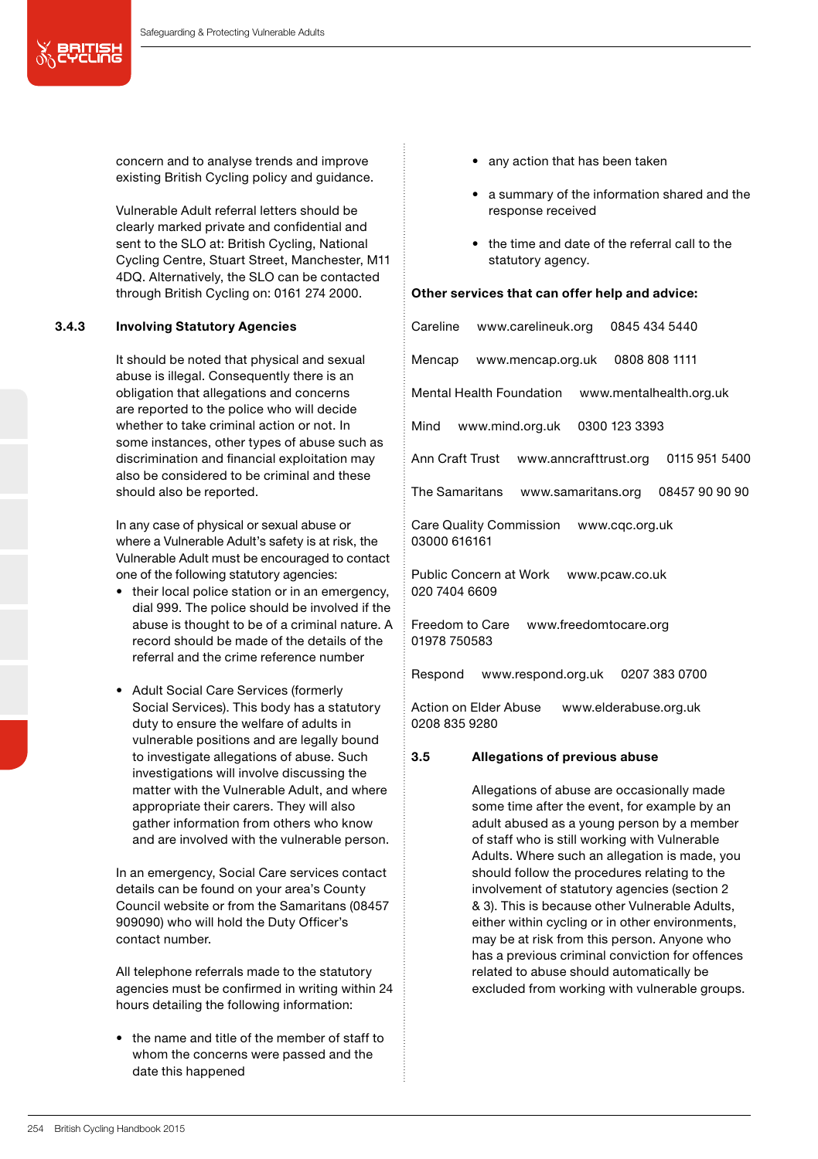

concern and to analyse trends and improve existing British Cycling policy and guidance.

Vulnerable Adult referral letters should be clearly marked private and confidential and sent to the SLO at: British Cycling, National Cycling Centre, Stuart Street, Manchester, M11 4DQ. Alternatively, the SLO can be contacted through British Cycling on: 0161 274 2000.

#### 3.4.3 Involving Statutory Agencies

It should be noted that physical and sexual abuse is illegal. Consequently there is an obligation that allegations and concerns are reported to the police who will decide whether to take criminal action or not. In some instances, other types of abuse such as discrimination and financial exploitation may also be considered to be criminal and these should also be reported.

In any case of physical or sexual abuse or where a Vulnerable Adult's safety is at risk, the Vulnerable Adult must be encouraged to contact one of the following statutory agencies:

- their local police station or in an emergency. dial 999. The police should be involved if the abuse is thought to be of a criminal nature. A record should be made of the details of the referral and the crime reference number
- Adult Social Care Services (formerly Social Services). This body has a statutory duty to ensure the welfare of adults in vulnerable positions and are legally bound to investigate allegations of abuse. Such investigations will involve discussing the matter with the Vulnerable Adult, and where appropriate their carers. They will also gather information from others who know and are involved with the vulnerable person.

In an emergency, Social Care services contact details can be found on your area's County Council website or from the Samaritans (08457 909090) who will hold the Duty Officer's contact number.

All telephone referrals made to the statutory agencies must be confirmed in writing within 24 hours detailing the following information:

• the name and title of the member of staff to whom the concerns were passed and the date this happened

- any action that has been taken
- a summary of the information shared and the response received
- the time and date of the referral call to the statutory agency.

#### Other services that can offer help and advice:

| Careline www.carelineuk.org                            |  | 0845 434 5440 |                |
|--------------------------------------------------------|--|---------------|----------------|
| Mencap www.mencap.org.uk                               |  | 0808 808 1111 |                |
| Mental Health Foundation www.mentalhealth.org.uk       |  |               |                |
| Mind www.mind.org.uk                                   |  | 0300 123 3393 |                |
| Ann Craft Trust www.anncrafttrust.org                  |  |               | 0115 951 5400  |
| The Samaritans www.samaritans.org                      |  |               | 08457 90 90 90 |
| Care Quality Commission www.cqc.org.uk<br>03000 616161 |  |               |                |

Public Concern at Work www.pcaw.co.uk 020 7404 6609

Freedom to Care www.freedomtocare.org 01978 750583

Respond www.respond.org.uk 0207 383 0700

Action on Elder Abuse www.elderabuse.org.uk 0208 835 9280

### 3.5 Allegations of previous abuse

Allegations of abuse are occasionally made some time after the event, for example by an adult abused as a young person by a member of staff who is still working with Vulnerable Adults. Where such an allegation is made, you should follow the procedures relating to the involvement of statutory agencies (section 2 & 3). This is because other Vulnerable Adults, either within cycling or in other environments, may be at risk from this person. Anyone who has a previous criminal conviction for offences related to abuse should automatically be excluded from working with vulnerable groups.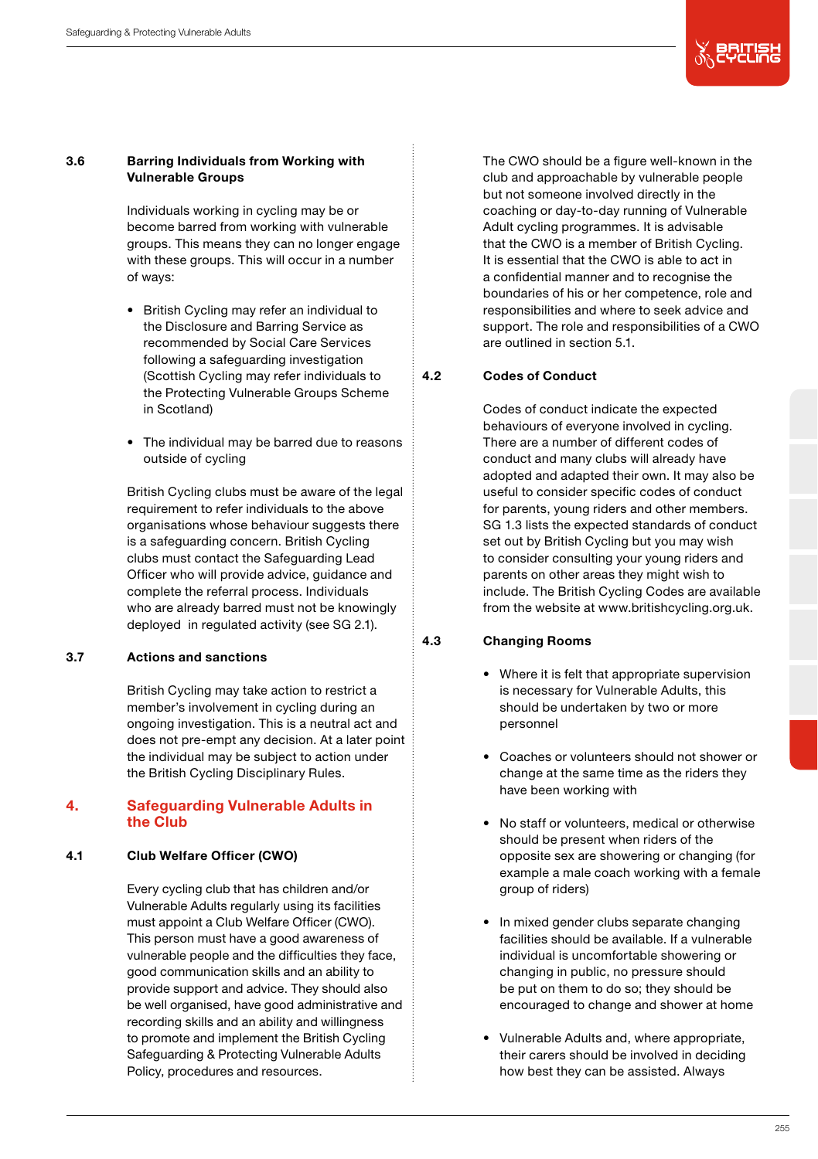# 3.6 Barring Individuals from Working with Vulnerable Groups

Individuals working in cycling may be or become barred from working with vulnerable groups. This means they can no longer engage with these groups. This will occur in a number of ways:

- British Cycling may refer an individual to the Disclosure and Barring Service as recommended by Social Care Services following a safeguarding investigation (Scottish Cycling may refer individuals to the Protecting Vulnerable Groups Scheme in Scotland)
- The individual may be barred due to reasons outside of cycling

British Cycling clubs must be aware of the legal requirement to refer individuals to the above organisations whose behaviour suggests there is a safeguarding concern. British Cycling clubs must contact the Safeguarding Lead Officer who will provide advice, guidance and complete the referral process. Individuals who are already barred must not be knowingly deployed in regulated activity (see SG 2.1).

# 3.7 Actions and sanctions

British Cycling may take action to restrict a member's involvement in cycling during an ongoing investigation. This is a neutral act and does not pre-empt any decision. At a later point the individual may be subject to action under the British Cycling Disciplinary Rules.

# 4. Safeguarding Vulnerable Adults in the Club

# 4.1 Club Welfare Officer (CWO)

Every cycling club that has children and/or Vulnerable Adults regularly using its facilities must appoint a Club Welfare Officer (CWO). This person must have a good awareness of vulnerable people and the difficulties they face, good communication skills and an ability to provide support and advice. They should also be well organised, have good administrative and recording skills and an ability and willingness to promote and implement the British Cycling Safeguarding & Protecting Vulnerable Adults Policy, procedures and resources.

The CWO should be a figure well-known in the club and approachable by vulnerable people but not someone involved directly in the coaching or day-to-day running of Vulnerable Adult cycling programmes. It is advisable that the CWO is a member of British Cycling. It is essential that the CWO is able to act in a confidential manner and to recognise the boundaries of his or her competence, role and responsibilities and where to seek advice and support. The role and responsibilities of a CWO are outlined in section 5.1.

# 4.2 Codes of Conduct

Codes of conduct indicate the expected behaviours of everyone involved in cycling. There are a number of different codes of conduct and many clubs will already have adopted and adapted their own. It may also be useful to consider specific codes of conduct for parents, young riders and other members. SG 1.3 lists the expected standards of conduct set out by British Cycling but you may wish to consider consulting your young riders and parents on other areas they might wish to include. The British Cycling Codes are available from the website at www.britishcycling.org.uk.

# 4.3 Changing Rooms

- Where it is felt that appropriate supervision is necessary for Vulnerable Adults, this should be undertaken by two or more personnel
- Coaches or volunteers should not shower or change at the same time as the riders they have been working with
- No staff or volunteers, medical or otherwise should be present when riders of the opposite sex are showering or changing (for example a male coach working with a female group of riders)
- In mixed gender clubs separate changing facilities should be available. If a vulnerable individual is uncomfortable showering or changing in public, no pressure should be put on them to do so; they should be encouraged to change and shower at home
- Vulnerable Adults and, where appropriate, their carers should be involved in deciding how best they can be assisted. Always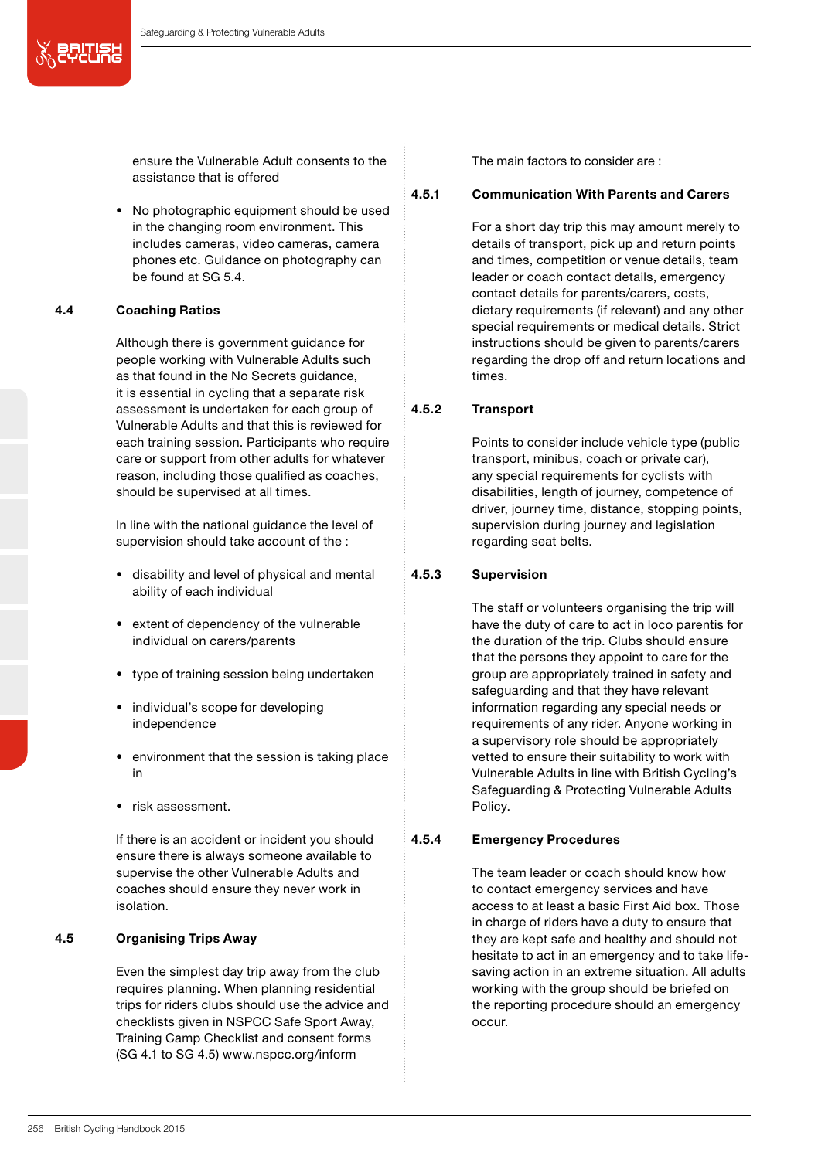ensure the Vulnerable Adult consents to the assistance that is offered

• No photographic equipment should be used in the changing room environment. This includes cameras, video cameras, camera phones etc. Guidance on photography can be found at SG 5.4.

#### 4.4 Coaching Ratios

义思尔思

Although there is government guidance for people working with Vulnerable Adults such as that found in the No Secrets guidance, it is essential in cycling that a separate risk assessment is undertaken for each group of Vulnerable Adults and that this is reviewed for each training session. Participants who require care or support from other adults for whatever reason, including those qualified as coaches, should be supervised at all times.

In line with the national guidance the level of supervision should take account of the :

- disability and level of physical and mental ability of each individual
- extent of dependency of the vulnerable individual on carers/parents
- type of training session being undertaken
- individual's scope for developing independence
- environment that the session is taking place in
- risk assessment.

If there is an accident or incident you should ensure there is always someone available to supervise the other Vulnerable Adults and coaches should ensure they never work in isolation.

#### 4.5 Organising Trips Away

Even the simplest day trip away from the club requires planning. When planning residential trips for riders clubs should use the advice and checklists given in NSPCC Safe Sport Away, Training Camp Checklist and consent forms (SG 4.1 to SG 4.5) www.nspcc.org/inform

The main factors to consider are :

#### 4.5.1 Communication With Parents and Carers

For a short day trip this may amount merely to details of transport, pick up and return points and times, competition or venue details, team leader or coach contact details, emergency contact details for parents/carers, costs, dietary requirements (if relevant) and any other special requirements or medical details. Strict instructions should be given to parents/carers regarding the drop off and return locations and times.

# 4.5.2 Transport

Points to consider include vehicle type (public transport, minibus, coach or private car), any special requirements for cyclists with disabilities, length of journey, competence of driver, journey time, distance, stopping points, supervision during journey and legislation regarding seat belts.

#### 4.5.3 Supervision

The staff or volunteers organising the trip will have the duty of care to act in loco parentis for the duration of the trip. Clubs should ensure that the persons they appoint to care for the group are appropriately trained in safety and safeguarding and that they have relevant information regarding any special needs or requirements of any rider. Anyone working in a supervisory role should be appropriately vetted to ensure their suitability to work with Vulnerable Adults in line with British Cycling's Safeguarding & Protecting Vulnerable Adults Policy.

#### 4.5.4 Emergency Procedures

The team leader or coach should know how to contact emergency services and have access to at least a basic First Aid box. Those in charge of riders have a duty to ensure that they are kept safe and healthy and should not hesitate to act in an emergency and to take lifesaving action in an extreme situation. All adults working with the group should be briefed on the reporting procedure should an emergency occur.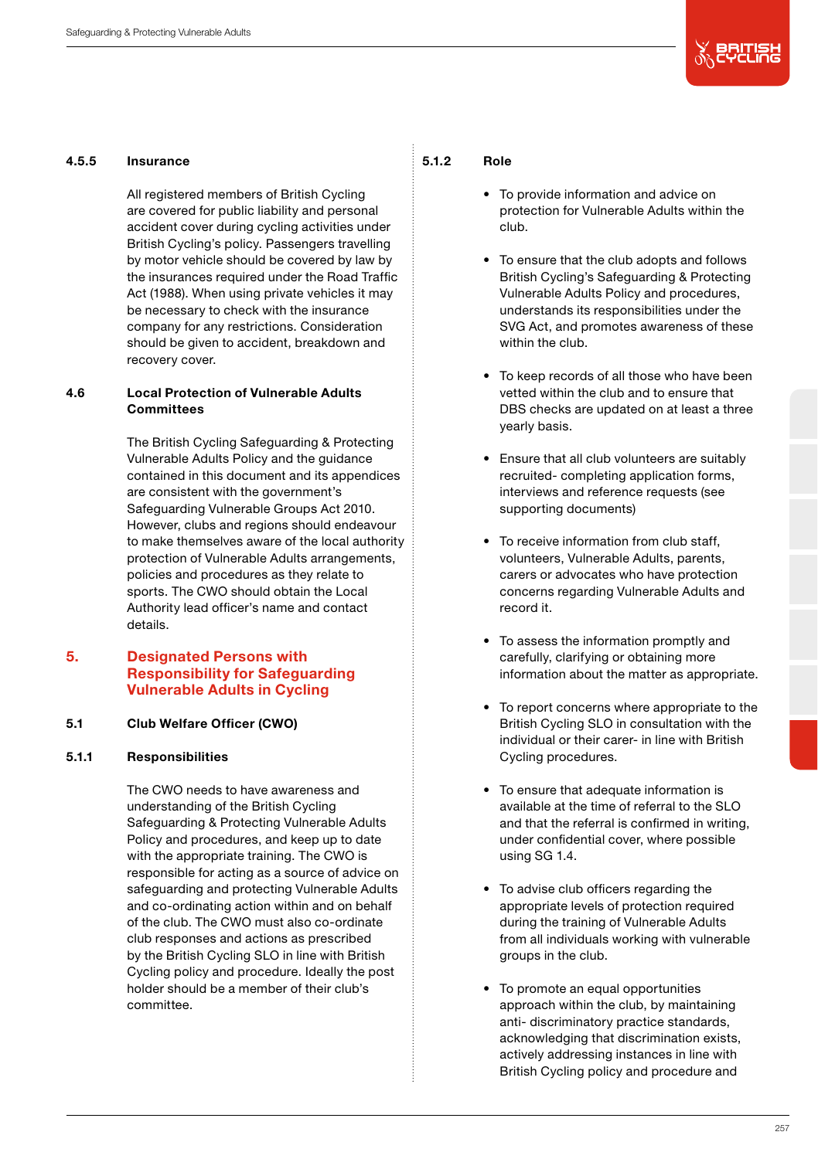#### 4.5.5 Insurance

All registered members of British Cycling are covered for public liability and personal accident cover during cycling activities under British Cycling's policy. Passengers travelling by motor vehicle should be covered by law by the insurances required under the Road Traffic Act (1988). When using private vehicles it may be necessary to check with the insurance company for any restrictions. Consideration should be given to accident, breakdown and recovery cover.

### 4.6 Local Protection of Vulnerable Adults Committees

The British Cycling Safeguarding & Protecting Vulnerable Adults Policy and the guidance contained in this document and its appendices are consistent with the government's Safeguarding Vulnerable Groups Act 2010. However, clubs and regions should endeavour to make themselves aware of the local authority protection of Vulnerable Adults arrangements, policies and procedures as they relate to sports. The CWO should obtain the Local Authority lead officer's name and contact details.

# 5. Designated Persons with Responsibility for Safeguarding Vulnerable Adults in Cycling

### 5.1 Club Welfare Officer (CWO)

# 5.1.1 Responsibilities

The CWO needs to have awareness and understanding of the British Cycling Safeguarding & Protecting Vulnerable Adults Policy and procedures, and keep up to date with the appropriate training. The CWO is responsible for acting as a source of advice on safeguarding and protecting Vulnerable Adults and co-ordinating action within and on behalf of the club. The CWO must also co-ordinate club responses and actions as prescribed by the British Cycling SLO in line with British Cycling policy and procedure. Ideally the post holder should be a member of their club's committee.

# 5.1.2 Role

- To provide information and advice on protection for Vulnerable Adults within the club.
- To ensure that the club adopts and follows British Cycling's Safeguarding & Protecting Vulnerable Adults Policy and procedures, understands its responsibilities under the SVG Act, and promotes awareness of these within the club.
- To keep records of all those who have been vetted within the club and to ensure that DBS checks are updated on at least a three yearly basis.
- Ensure that all club volunteers are suitably recruited- completing application forms, interviews and reference requests (see supporting documents)
- To receive information from club staff, volunteers, Vulnerable Adults, parents, carers or advocates who have protection concerns regarding Vulnerable Adults and record it.
- To assess the information promptly and carefully, clarifying or obtaining more information about the matter as appropriate.
- To report concerns where appropriate to the British Cycling SLO in consultation with the individual or their carer- in line with British Cycling procedures.
- To ensure that adequate information is available at the time of referral to the SLO and that the referral is confirmed in writing, under confidential cover, where possible using SG 1.4.
- To advise club officers regarding the appropriate levels of protection required during the training of Vulnerable Adults from all individuals working with vulnerable groups in the club.
- To promote an equal opportunities approach within the club, by maintaining anti- discriminatory practice standards, acknowledging that discrimination exists, actively addressing instances in line with British Cycling policy and procedure and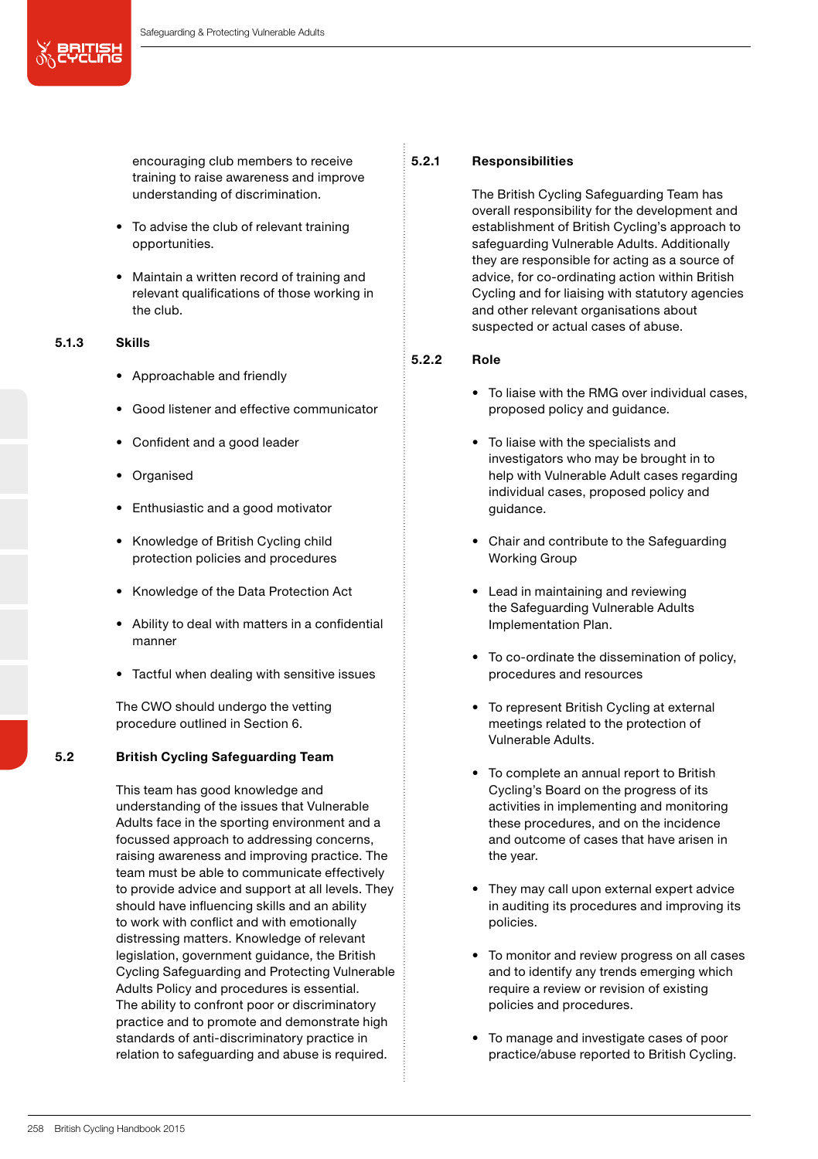义思出品

encouraging club members to receive training to raise awareness and improve understanding of discrimination.

- To advise the club of relevant training opportunities.
- Maintain a written record of training and relevant qualifications of those working in the club.

#### 5.1.3 Skills

- Approachable and friendly
- Good listener and effective communicator
- Confident and a good leader
- **Organised**
- Enthusiastic and a good motivator
- Knowledge of British Cycling child protection policies and procedures
- Knowledge of the Data Protection Act
- Ability to deal with matters in a confidential manner
- Tactful when dealing with sensitive issues

The CWO should undergo the vetting procedure outlined in Section 6.

# 5.2 British Cycling Safeguarding Team

This team has good knowledge and understanding of the issues that Vulnerable Adults face in the sporting environment and a focussed approach to addressing concerns, raising awareness and improving practice. The team must be able to communicate effectively to provide advice and support at all levels. They should have influencing skills and an ability to work with conflict and with emotionally distressing matters. Knowledge of relevant legislation, government guidance, the British Cycling Safeguarding and Protecting Vulnerable Adults Policy and procedures is essential. The ability to confront poor or discriminatory practice and to promote and demonstrate high standards of anti-discriminatory practice in relation to safeguarding and abuse is required.

### 5.2.1 Responsibilities

The British Cycling Safeguarding Team has overall responsibility for the development and establishment of British Cycling's approach to safeguarding Vulnerable Adults. Additionally they are responsible for acting as a source of advice, for co-ordinating action within British Cycling and for liaising with statutory agencies and other relevant organisations about suspected or actual cases of abuse.

#### 5.2.2 Role

- To liaise with the RMG over individual cases, proposed policy and guidance.
- To liaise with the specialists and investigators who may be brought in to help with Vulnerable Adult cases regarding individual cases, proposed policy and guidance.
- Chair and contribute to the Safeguarding Working Group
- Lead in maintaining and reviewing the Safeguarding Vulnerable Adults Implementation Plan.
- To co-ordinate the dissemination of policy, procedures and resources
- To represent British Cycling at external meetings related to the protection of Vulnerable Adults.
- To complete an annual report to British Cycling's Board on the progress of its activities in implementing and monitoring these procedures, and on the incidence and outcome of cases that have arisen in the year.
- They may call upon external expert advice in auditing its procedures and improving its policies.
- To monitor and review progress on all cases and to identify any trends emerging which require a review or revision of existing policies and procedures.
- To manage and investigate cases of poor practice/abuse reported to British Cycling.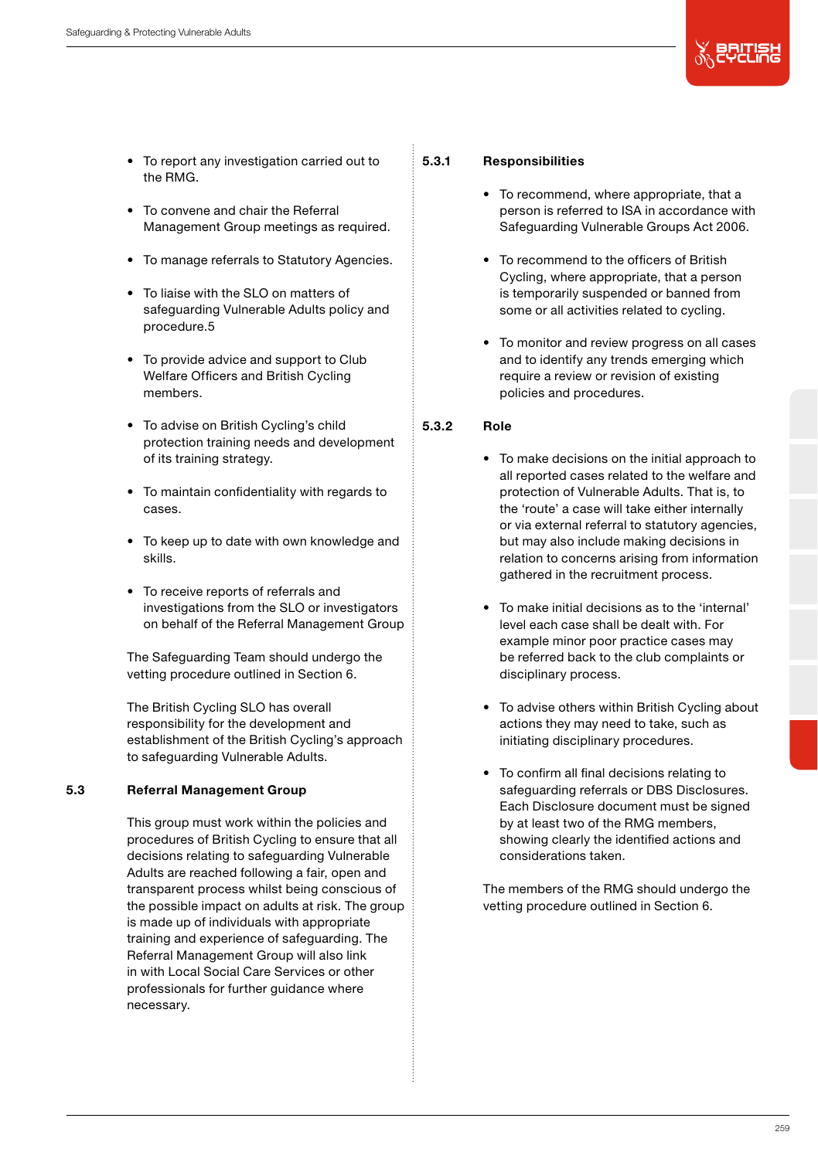- To report any investigation carried out to the RMG.
- To convene and chair the Referral Management Group meetings as required.
- To manage referrals to Statutory Agencies.
- To liaise with the SLO on matters of safeguarding Vulnerable Adults policy and procedure.5
- To provide advice and support to Club Welfare Officers and British Cycling members.
- To advise on British Cycling's child protection training needs and development of its training strategy.
- To maintain confidentiality with regards to cases.
- To keep up to date with own knowledge and skills.
- To receive reports of referrals and investigations from the SLO or investigators on behalf of the Referral Management Group

The Safeguarding Team should undergo the vetting procedure outlined in Section 6.

The British Cycling SLO has overall responsibility for the development and establishment of the British Cycling's approach to safeguarding Vulnerable Adults.

# 5.3 Referral Management Group

This group must work within the policies and procedures of British Cycling to ensure that all decisions relating to safeguarding Vulnerable Adults are reached following a fair, open and transparent process whilst being conscious of the possible impact on adults at risk. The group is made up of individuals with appropriate training and experience of safeguarding. The Referral Management Group will also link in with Local Social Care Services or other professionals for further guidance where necessary.

# 5.3.1 Responsibilities

- To recommend, where appropriate, that a person is referred to ISA in accordance with Safeguarding Vulnerable Groups Act 2006.
- To recommend to the officers of British Cycling, where appropriate, that a person is temporarily suspended or banned from some or all activities related to cycling.
- To monitor and review progress on all cases and to identify any trends emerging which require a review or revision of existing policies and procedures.

# 5.3.2 Role

- To make decisions on the initial approach to all reported cases related to the welfare and protection of Vulnerable Adults. That is, to the 'route' a case will take either internally or via external referral to statutory agencies, but may also include making decisions in relation to concerns arising from information gathered in the recruitment process.
- To make initial decisions as to the 'internal' level each case shall be dealt with. For example minor poor practice cases may be referred back to the club complaints or disciplinary process.
- To advise others within British Cycling about actions they may need to take, such as initiating disciplinary procedures.
- To confirm all final decisions relating to safeguarding referrals or DBS Disclosures. Each Disclosure document must be signed by at least two of the RMG members, showing clearly the identified actions and considerations taken.

The members of the RMG should undergo the vetting procedure outlined in Section 6.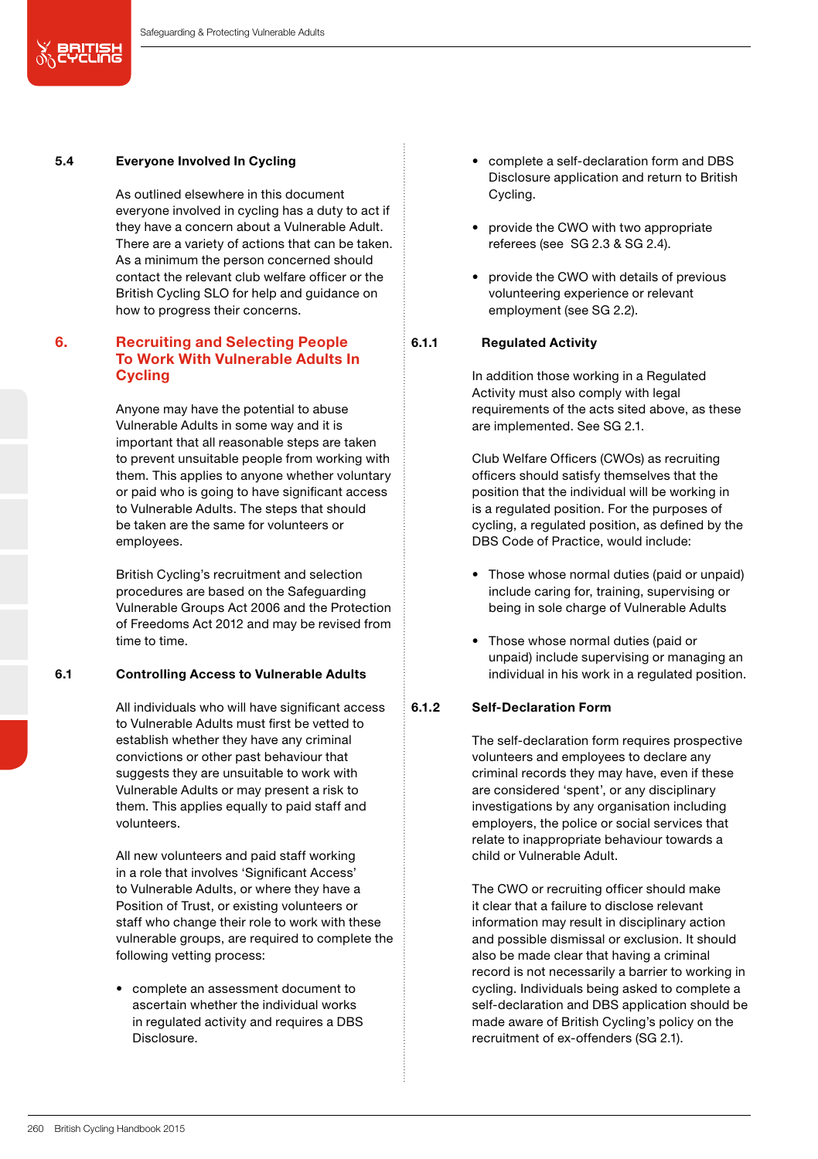### 5.4 Everyone Involved In Cycling

As outlined elsewhere in this document everyone involved in cycling has a duty to act if they have a concern about a Vulnerable Adult. There are a variety of actions that can be taken. As a minimum the person concerned should contact the relevant club welfare officer or the British Cycling SLO for help and guidance on how to progress their concerns.

# 6. Recruiting and Selecting People To Work With Vulnerable Adults In **Cycling**

Anyone may have the potential to abuse Vulnerable Adults in some way and it is important that all reasonable steps are taken to prevent unsuitable people from working with them. This applies to anyone whether voluntary or paid who is going to have significant access to Vulnerable Adults. The steps that should be taken are the same for volunteers or employees.

British Cycling's recruitment and selection procedures are based on the Safeguarding Vulnerable Groups Act 2006 and the Protection of Freedoms Act 2012 and may be revised from time to time.

# 6.1 Controlling Access to Vulnerable Adults

All individuals who will have significant access to Vulnerable Adults must first be vetted to establish whether they have any criminal convictions or other past behaviour that suggests they are unsuitable to work with Vulnerable Adults or may present a risk to them. This applies equally to paid staff and volunteers.

All new volunteers and paid staff working in a role that involves 'Significant Access' to Vulnerable Adults, or where they have a Position of Trust, or existing volunteers or staff who change their role to work with these vulnerable groups, are required to complete the following vetting process:

• complete an assessment document to ascertain whether the individual works in regulated activity and requires a DBS **Disclosure** 

- complete a self-declaration form and DBS Disclosure application and return to British Cycling.
- provide the CWO with two appropriate referees (see SG 2.3 & SG 2.4).
- provide the CWO with details of previous volunteering experience or relevant employment (see SG 2.2).

# 6.1.1 Regulated Activity

In addition those working in a Regulated Activity must also comply with legal requirements of the acts sited above, as these are implemented. See SG 2.1.

Club Welfare Officers (CWOs) as recruiting officers should satisfy themselves that the position that the individual will be working in is a regulated position. For the purposes of cycling, a regulated position, as defined by the DBS Code of Practice, would include:

- Those whose normal duties (paid or unpaid) include caring for, training, supervising or being in sole charge of Vulnerable Adults
- Those whose normal duties (paid or unpaid) include supervising or managing an individual in his work in a regulated position.

# 6.1.2 Self-Declaration Form

The self-declaration form requires prospective volunteers and employees to declare any criminal records they may have, even if these are considered 'spent', or any disciplinary investigations by any organisation including employers, the police or social services that relate to inappropriate behaviour towards a child or Vulnerable Adult.

The CWO or recruiting officer should make it clear that a failure to disclose relevant information may result in disciplinary action and possible dismissal or exclusion. It should also be made clear that having a criminal record is not necessarily a barrier to working in cycling. Individuals being asked to complete a self-declaration and DBS application should be made aware of British Cycling's policy on the recruitment of ex-offenders (SG 2.1).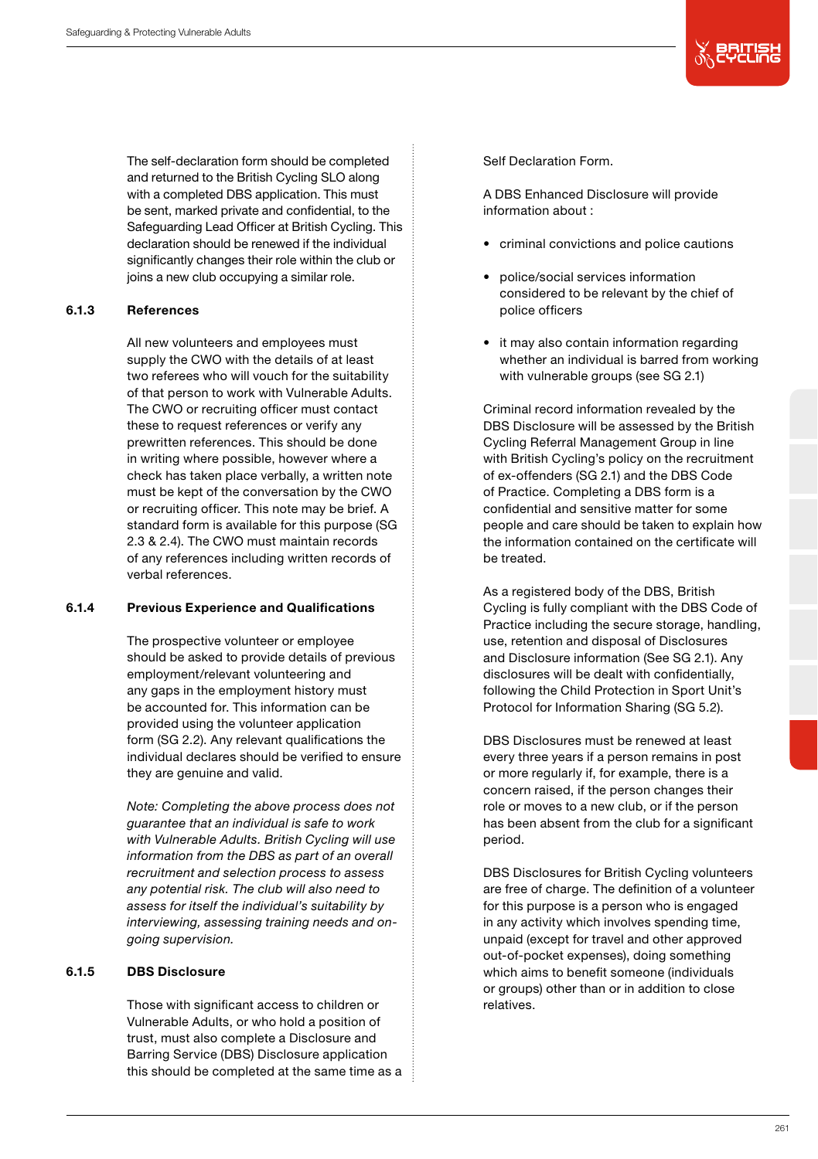

#### 6.1.3 References

All new volunteers and employees must supply the CWO with the details of at least two referees who will vouch for the suitability of that person to work with Vulnerable Adults. The CWO or recruiting officer must contact these to request references or verify any prewritten references. This should be done in writing where possible, however where a check has taken place verbally, a written note must be kept of the conversation by the CWO or recruiting officer. This note may be brief. A standard form is available for this purpose (SG 2.3 & 2.4). The CWO must maintain records of any references including written records of verbal references.

# 6.1.4 Previous Experience and Qualifications

The prospective volunteer or employee should be asked to provide details of previous employment/relevant volunteering and any gaps in the employment history must be accounted for. This information can be provided using the volunteer application form (SG 2.2). Any relevant qualifications the individual declares should be verified to ensure they are genuine and valid.

*Note: Completing the above process does not guarantee that an individual is safe to work with Vulnerable Adults. British Cycling will use information from the DBS as part of an overall recruitment and selection process to assess any potential risk. The club will also need to assess for itself the individual's suitability by interviewing, assessing training needs and ongoing supervision.*

# 6.1.5 DBS Disclosure

Those with significant access to children or Vulnerable Adults, or who hold a position of trust, must also complete a Disclosure and Barring Service (DBS) Disclosure application this should be completed at the same time as a Self Declaration Form.

A DBS Enhanced Disclosure will provide information about :

- criminal convictions and police cautions
- police/social services information considered to be relevant by the chief of police officers
- it may also contain information regarding whether an individual is barred from working with vulnerable groups (see SG 2.1)

Criminal record information revealed by the DBS Disclosure will be assessed by the British Cycling Referral Management Group in line with British Cycling's policy on the recruitment of ex-offenders (SG 2.1) and the DBS Code of Practice. Completing a DBS form is a confidential and sensitive matter for some people and care should be taken to explain how the information contained on the certificate will be treated.

As a registered body of the DBS, British Cycling is fully compliant with the DBS Code of Practice including the secure storage, handling, use, retention and disposal of Disclosures and Disclosure information (See SG 2.1). Any disclosures will be dealt with confidentially, following the Child Protection in Sport Unit's Protocol for Information Sharing (SG 5.2).

DBS Disclosures must be renewed at least every three years if a person remains in post or more regularly if, for example, there is a concern raised, if the person changes their role or moves to a new club, or if the person has been absent from the club for a significant period.

DBS Disclosures for British Cycling volunteers are free of charge. The definition of a volunteer for this purpose is a person who is engaged in any activity which involves spending time, unpaid (except for travel and other approved out-of-pocket expenses), doing something which aims to benefit someone (individuals or groups) other than or in addition to close relatives.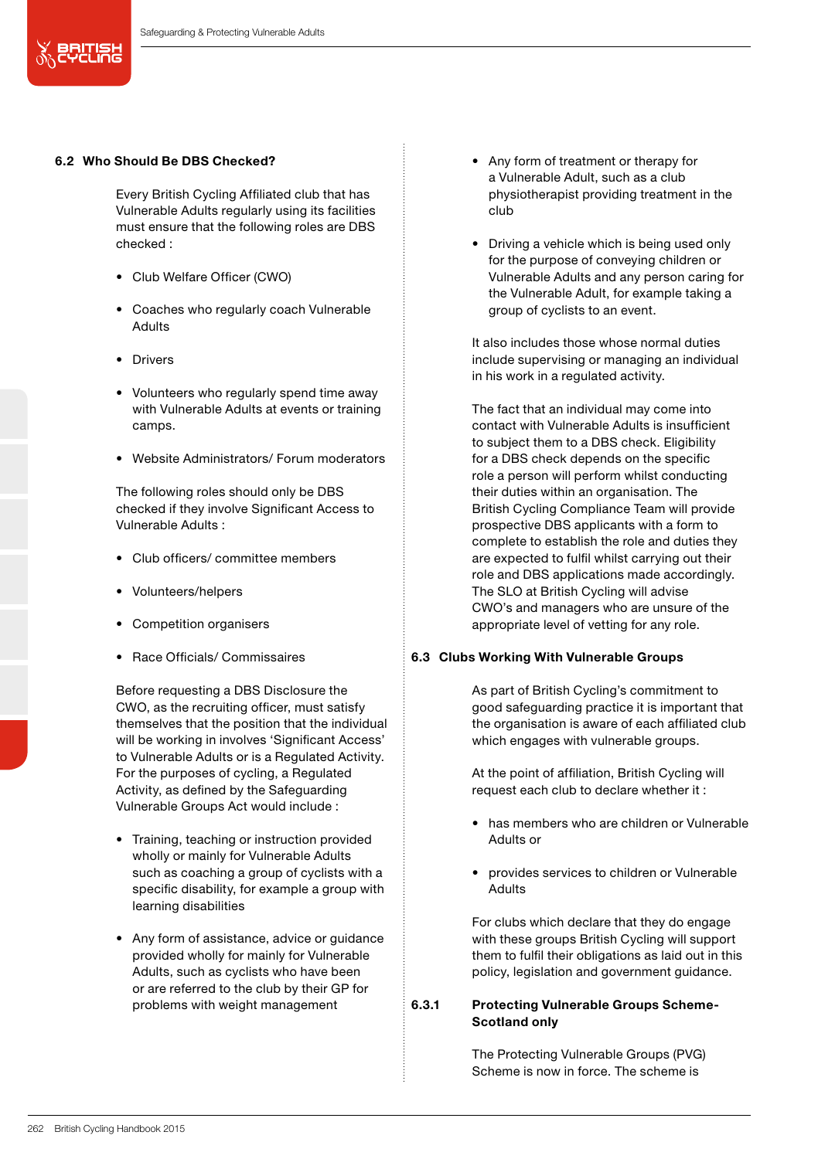### 6.2 Who Should Be DBS Checked?

义思尔思

Every British Cycling Affiliated club that has Vulnerable Adults regularly using its facilities must ensure that the following roles are DBS checked :

- Club Welfare Officer (CWO)
- Coaches who regularly coach Vulnerable Adults
- Drivers
- Volunteers who regularly spend time away with Vulnerable Adults at events or training camps.
- Website Administrators/ Forum moderators

The following roles should only be DBS checked if they involve Significant Access to Vulnerable Adults :

- Club officers/ committee members
- Volunteers/helpers
- Competition organisers
- Race Officials/ Commissaires

Before requesting a DBS Disclosure the CWO, as the recruiting officer, must satisfy themselves that the position that the individual will be working in involves 'Significant Access' to Vulnerable Adults or is a Regulated Activity. For the purposes of cycling, a Regulated Activity, as defined by the Safeguarding Vulnerable Groups Act would include :

- Training, teaching or instruction provided wholly or mainly for Vulnerable Adults such as coaching a group of cyclists with a specific disability, for example a group with learning disabilities
- Any form of assistance, advice or quidance provided wholly for mainly for Vulnerable Adults, such as cyclists who have been or are referred to the club by their GP for problems with weight management
- Any form of treatment or therapy for a Vulnerable Adult, such as a club physiotherapist providing treatment in the club
- Driving a vehicle which is being used only for the purpose of conveying children or Vulnerable Adults and any person caring for the Vulnerable Adult, for example taking a group of cyclists to an event.

It also includes those whose normal duties include supervising or managing an individual in his work in a regulated activity.

The fact that an individual may come into contact with Vulnerable Adults is insufficient to subject them to a DBS check. Eligibility for a DBS check depends on the specific role a person will perform whilst conducting their duties within an organisation. The British Cycling Compliance Team will provide prospective DBS applicants with a form to complete to establish the role and duties they are expected to fulfil whilst carrying out their role and DBS applications made accordingly. The SLO at British Cycling will advise CWO's and managers who are unsure of the appropriate level of vetting for any role.

# 6.3 Clubs Working With Vulnerable Groups

As part of British Cycling's commitment to good safeguarding practice it is important that the organisation is aware of each affiliated club which engages with vulnerable groups.

At the point of affiliation, British Cycling will request each club to declare whether it :

- has members who are children or Vulnerable Adults or
- provides services to children or Vulnerable **Adults**

For clubs which declare that they do engage with these groups British Cycling will support them to fulfil their obligations as laid out in this policy, legislation and government guidance.

6.3.1 Protecting Vulnerable Groups Scheme-Scotland only

> The Protecting Vulnerable Groups (PVG) Scheme is now in force. The scheme is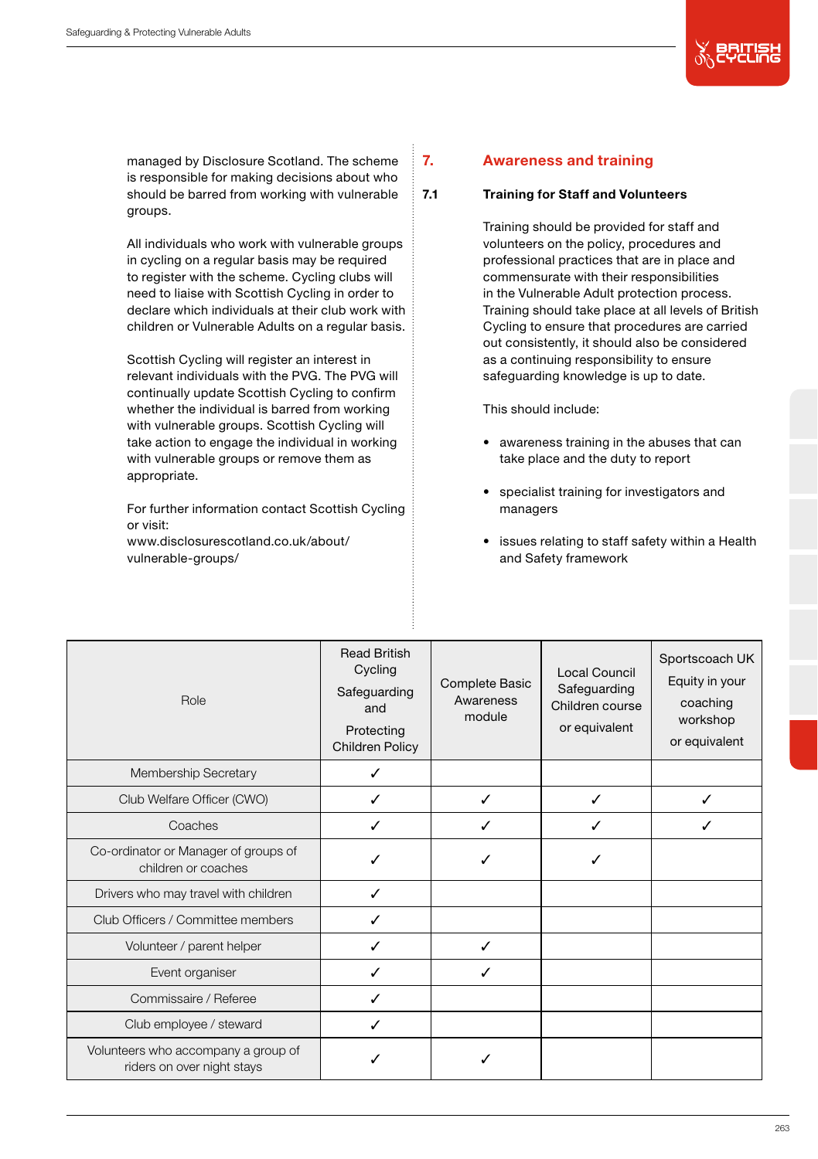

managed by Disclosure Scotland. The scheme is responsible for making decisions about who should be barred from working with vulnerable groups.

All individuals who work with vulnerable groups in cycling on a regular basis may be required to register with the scheme. Cycling clubs will need to liaise with Scottish Cycling in order to declare which individuals at their club work with children or Vulnerable Adults on a regular basis.

Scottish Cycling will register an interest in relevant individuals with the PVG. The PVG will continually update Scottish Cycling to confirm whether the individual is barred from working with vulnerable groups. Scottish Cycling will take action to engage the individual in working with vulnerable groups or remove them as appropriate.

For further information contact Scottish Cycling or visit: www.disclosurescotland.co.uk/about/ vulnerable-groups/

# 7. Awareness and training

#### 7.1 Training for Staff and Volunteers

Training should be provided for staff and volunteers on the policy, procedures and professional practices that are in place and commensurate with their responsibilities in the Vulnerable Adult protection process. Training should take place at all levels of British Cycling to ensure that procedures are carried out consistently, it should also be considered as a continuing responsibility to ensure safeguarding knowledge is up to date.

### This should include:

- awareness training in the abuses that can take place and the duty to report
- specialist training for investigators and managers
- issues relating to staff safety within a Health and Safety framework

| Role                                                              | <b>Read British</b><br>Cycling<br>Safeguarding<br>and<br>Protecting<br>Children Policy | Complete Basic<br>Awareness<br>module | Local Council<br>Safeguarding<br>Children course<br>or equivalent | Sportscoach UK<br>Equity in your<br>coaching<br>workshop<br>or equivalent |
|-------------------------------------------------------------------|----------------------------------------------------------------------------------------|---------------------------------------|-------------------------------------------------------------------|---------------------------------------------------------------------------|
| Membership Secretary                                              | ✓                                                                                      |                                       |                                                                   |                                                                           |
| Club Welfare Officer (CWO)                                        |                                                                                        |                                       |                                                                   |                                                                           |
| Coaches                                                           | ✓                                                                                      | ✓                                     | ✓                                                                 |                                                                           |
| Co-ordinator or Manager of groups of<br>children or coaches       |                                                                                        |                                       |                                                                   |                                                                           |
| Drivers who may travel with children                              |                                                                                        |                                       |                                                                   |                                                                           |
| Club Officers / Committee members                                 | ✓                                                                                      |                                       |                                                                   |                                                                           |
| Volunteer / parent helper                                         | ℐ                                                                                      | ℐ                                     |                                                                   |                                                                           |
| Event organiser                                                   | ✓                                                                                      | ℐ                                     |                                                                   |                                                                           |
| Commissaire / Referee                                             | ✓                                                                                      |                                       |                                                                   |                                                                           |
| Club employee / steward                                           |                                                                                        |                                       |                                                                   |                                                                           |
| Volunteers who accompany a group of<br>riders on over night stays |                                                                                        |                                       |                                                                   |                                                                           |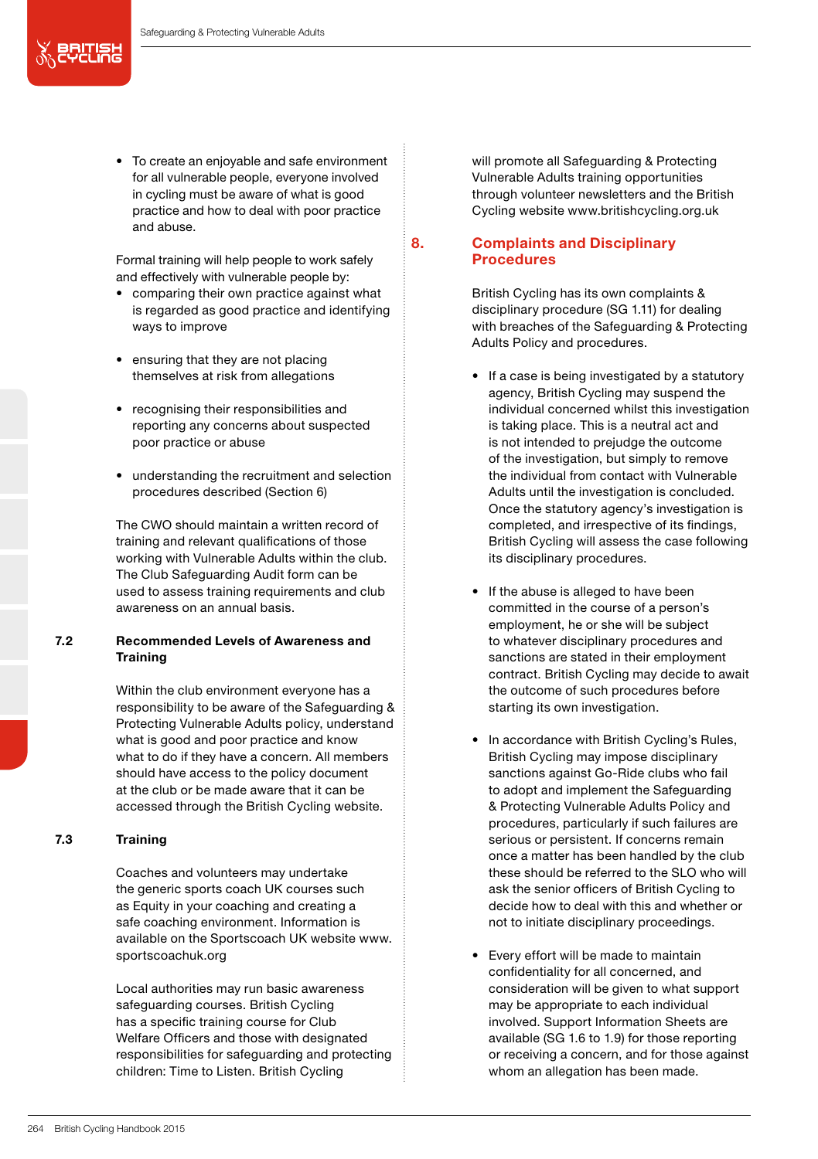• To create an enjoyable and safe environment for all vulnerable people, everyone involved in cycling must be aware of what is good practice and how to deal with poor practice and abuse.

Formal training will help people to work safely and effectively with vulnerable people by:

- comparing their own practice against what is regarded as good practice and identifying ways to improve
- ensuring that they are not placing themselves at risk from allegations
- recognising their responsibilities and reporting any concerns about suspected poor practice or abuse
- understanding the recruitment and selection procedures described (Section 6)

The CWO should maintain a written record of training and relevant qualifications of those working with Vulnerable Adults within the club. The Club Safeguarding Audit form can be used to assess training requirements and club awareness on an annual basis.

# 7.2 Recommended Levels of Awareness and **Training**

Within the club environment everyone has a responsibility to be aware of the Safeguarding & Protecting Vulnerable Adults policy, understand what is good and poor practice and know what to do if they have a concern. All members should have access to the policy document at the club or be made aware that it can be accessed through the British Cycling website.

#### 7.3 Training

Coaches and volunteers may undertake the generic sports coach UK courses such as Equity in your coaching and creating a safe coaching environment. Information is available on the Sportscoach UK website www. sportscoachuk.org

Local authorities may run basic awareness safeguarding courses. British Cycling has a specific training course for Club Welfare Officers and those with designated responsibilities for safeguarding and protecting children: Time to Listen. British Cycling

will promote all Safeguarding & Protecting Vulnerable Adults training opportunities through volunteer newsletters and the British Cycling website www.britishcycling.org.uk

### 8. Complaints and Disciplinary Procedures

British Cycling has its own complaints & disciplinary procedure (SG 1.11) for dealing with breaches of the Safeguarding & Protecting Adults Policy and procedures.

- If a case is being investigated by a statutory agency, British Cycling may suspend the individual concerned whilst this investigation is taking place. This is a neutral act and is not intended to prejudge the outcome of the investigation, but simply to remove the individual from contact with Vulnerable Adults until the investigation is concluded. Once the statutory agency's investigation is completed, and irrespective of its findings, British Cycling will assess the case following its disciplinary procedures.
- If the abuse is alleged to have been committed in the course of a person's employment, he or she will be subject to whatever disciplinary procedures and sanctions are stated in their employment contract. British Cycling may decide to await the outcome of such procedures before starting its own investigation.
- In accordance with British Cycling's Rules, British Cycling may impose disciplinary sanctions against Go-Ride clubs who fail to adopt and implement the Safeguarding & Protecting Vulnerable Adults Policy and procedures, particularly if such failures are serious or persistent. If concerns remain once a matter has been handled by the club these should be referred to the SLO who will ask the senior officers of British Cycling to decide how to deal with this and whether or not to initiate disciplinary proceedings.
- Every effort will be made to maintain confidentiality for all concerned, and consideration will be given to what support may be appropriate to each individual involved. Support Information Sheets are available (SG 1.6 to 1.9) for those reporting or receiving a concern, and for those against whom an allegation has been made.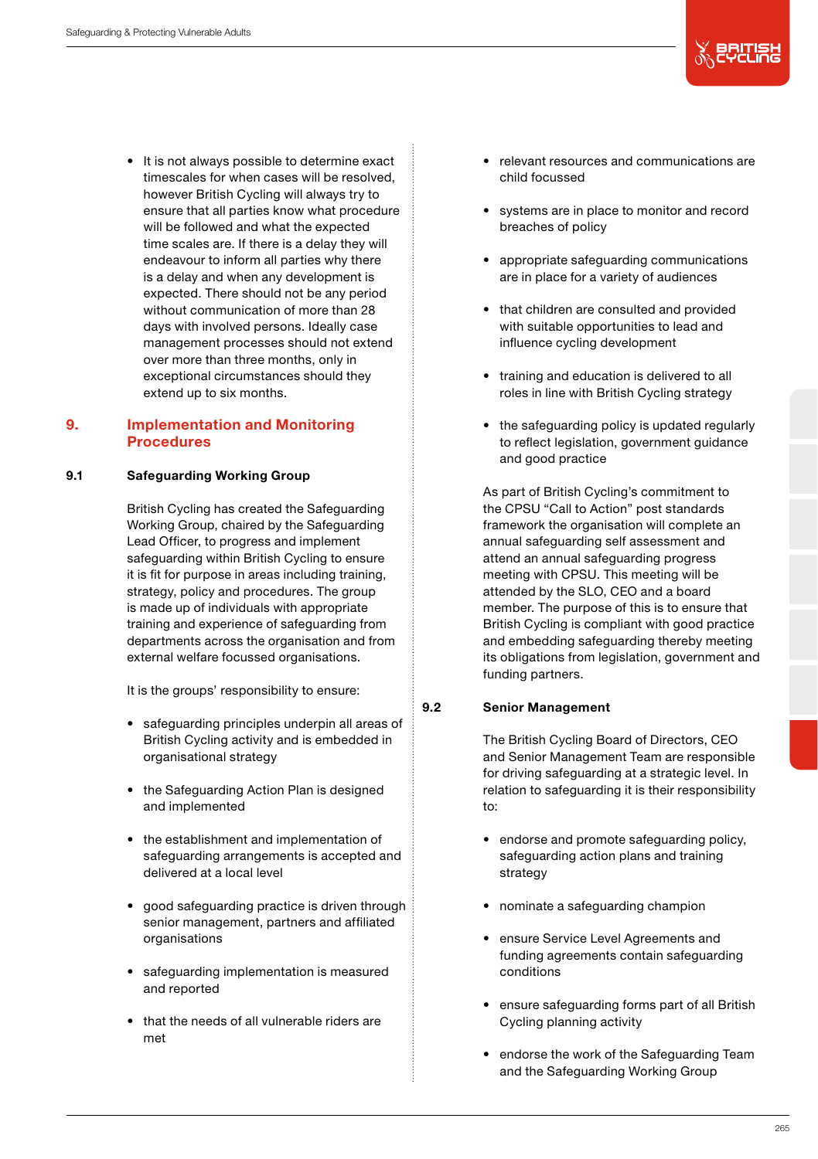• It is not always possible to determine exact timescales for when cases will be resolved, however British Cycling will always try to ensure that all parties know what procedure will be followed and what the expected time scales are. If there is a delay they will endeavour to inform all parties why there is a delay and when any development is expected. There should not be any period without communication of more than 28 days with involved persons. Ideally case management processes should not extend over more than three months, only in exceptional circumstances should they extend up to six months.

# 9. Implementation and Monitoring Procedures

### 9.1 Safeguarding Working Group

British Cycling has created the Safeguarding Working Group, chaired by the Safeguarding Lead Officer, to progress and implement safeguarding within British Cycling to ensure it is fit for purpose in areas including training, strategy, policy and procedures. The group is made up of individuals with appropriate training and experience of safeguarding from departments across the organisation and from external welfare focussed organisations.

It is the groups' responsibility to ensure:

- safeguarding principles underpin all areas of British Cycling activity and is embedded in organisational strategy
- the Safeguarding Action Plan is designed and implemented
- the establishment and implementation of safeguarding arrangements is accepted and delivered at a local level
- good safeguarding practice is driven through senior management, partners and affiliated organisations
- safeguarding implementation is measured and reported
- that the needs of all vulnerable riders are met
- relevant resources and communications are child focussed
- systems are in place to monitor and record breaches of policy
- appropriate safeguarding communications are in place for a variety of audiences
- that children are consulted and provided with suitable opportunities to lead and influence cycling development
- training and education is delivered to all roles in line with British Cycling strategy
- the safeguarding policy is updated regularly to reflect legislation, government guidance and good practice

As part of British Cycling's commitment to the CPSU "Call to Action" post standards framework the organisation will complete an annual safeguarding self assessment and attend an annual safeguarding progress meeting with CPSU. This meeting will be attended by the SLO, CEO and a board member. The purpose of this is to ensure that British Cycling is compliant with good practice and embedding safeguarding thereby meeting its obligations from legislation, government and funding partners.

# 9.2 Senior Management

The British Cycling Board of Directors, CEO and Senior Management Team are responsible for driving safeguarding at a strategic level. In relation to safeguarding it is their responsibility to:

- endorse and promote safeguarding policy. safeguarding action plans and training strategy
- nominate a safeguarding champion
- ensure Service Level Agreements and funding agreements contain safeguarding conditions
- ensure safeguarding forms part of all British Cycling planning activity
- endorse the work of the Safeguarding Team and the Safeguarding Working Group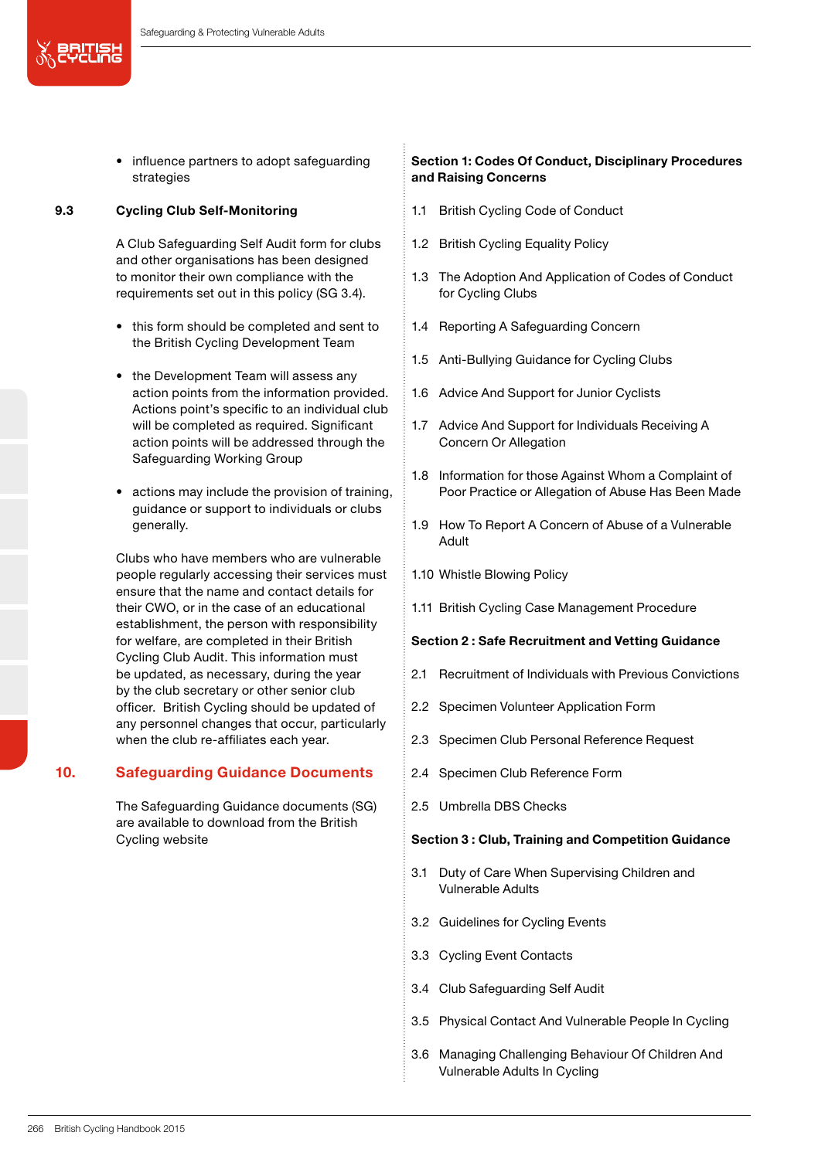• influence partners to adopt safeguarding strategies

# 9.3 Cycling Club Self-Monitoring

A Club Safeguarding Self Audit form for clubs and other organisations has been designed to monitor their own compliance with the requirements set out in this policy (SG 3.4).

- this form should be completed and sent to the British Cycling Development Team
- the Development Team will assess any action points from the information provided. Actions point's specific to an individual club will be completed as required. Significant action points will be addressed through the Safeguarding Working Group
- actions may include the provision of training, guidance or support to individuals or clubs generally.

Clubs who have members who are vulnerable people regularly accessing their services must ensure that the name and contact details for their CWO, or in the case of an educational establishment, the person with responsibility for welfare, are completed in their British Cycling Club Audit. This information must be updated, as necessary, during the year by the club secretary or other senior club officer. British Cycling should be updated of any personnel changes that occur, particularly when the club re-affiliates each year.

# 10. Safeguarding Guidance Documents

The Safeguarding Guidance documents (SG) are available to download from the British Cycling website

# Section 1: Codes Of Conduct, Disciplinary Procedures and Raising Concerns

- 1.1 British Cycling Code of Conduct
- 1.2 British Cycling Equality Policy
- 1.3 The Adoption And Application of Codes of Conduct for Cycling Clubs
- 1.4 Reporting A Safeguarding Concern
- 1.5 Anti-Bullying Guidance for Cycling Clubs
- 1.6 Advice And Support for Junior Cyclists
- 1.7 Advice And Support for Individuals Receiving A Concern Or Allegation
- 1.8 Information for those Against Whom a Complaint of Poor Practice or Allegation of Abuse Has Been Made
- 1.9 How To Report A Concern of Abuse of a Vulnerable Adult
- 1.10 Whistle Blowing Policy
- 1.11 British Cycling Case Management Procedure

#### Section 2 : Safe Recruitment and Vetting Guidance

- 2.1 Recruitment of Individuals with Previous Convictions
- 2.2 Specimen Volunteer Application Form
- 2.3 Specimen Club Personal Reference Request
- 2.4 Specimen Club Reference Form
- 2.5 Umbrella DBS Checks

#### Section 3 : Club, Training and Competition Guidance

- 3.1 Duty of Care When Supervising Children and Vulnerable Adults
- 3.2 Guidelines for Cycling Events
- 3.3 Cycling Event Contacts
- 3.4 Club Safeguarding Self Audit
- 3.5 Physical Contact And Vulnerable People In Cycling
- 3.6 Managing Challenging Behaviour Of Children And Vulnerable Adults In Cycling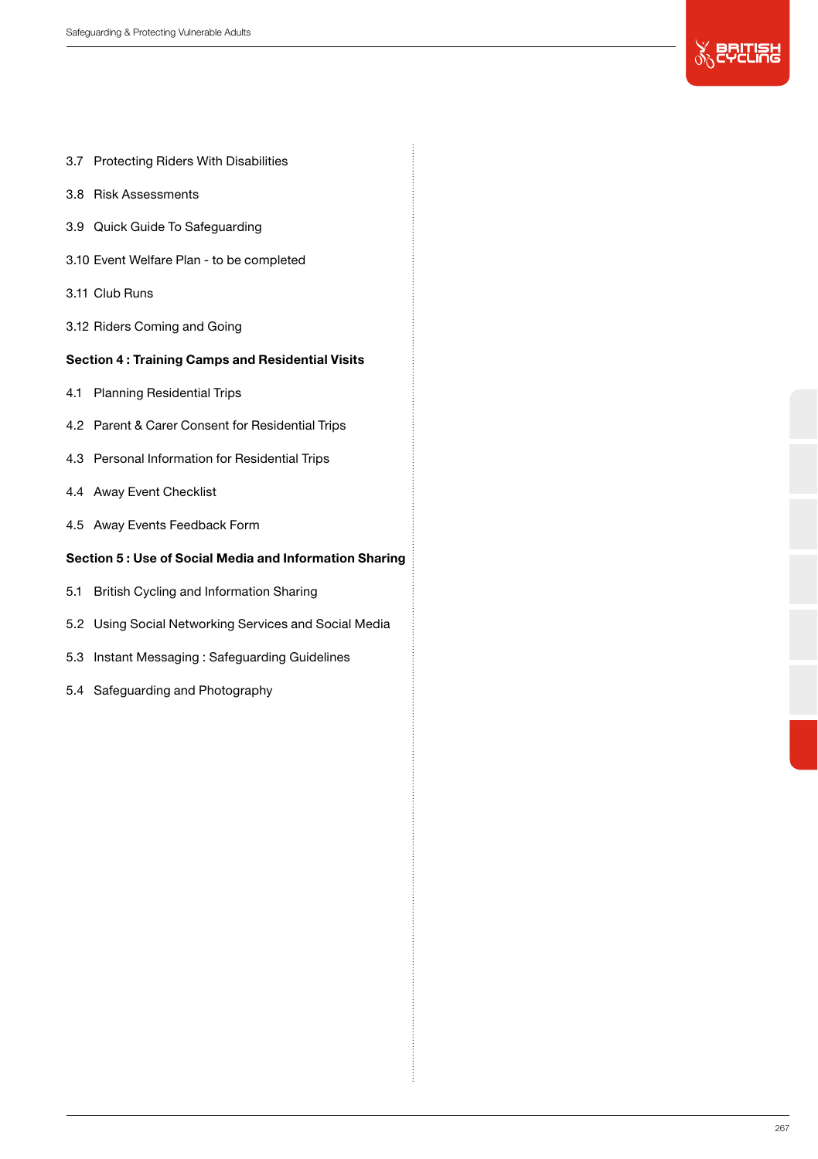

- 3.7 Protecting Riders With Disabilities
- 3.8 Risk Assessments
- 3.9 Quick Guide To Safeguarding
- 3.10 Event Welfare Plan to be completed
- 3.11 Club Runs
- 3.12 Riders Coming and Going

# Section 4 : Training Camps and Residential Visits

- 4.1 Planning Residential Trips
- 4.2 Parent & Carer Consent for Residential Trips
- 4.3 Personal Information for Residential Trips
- 4.4 Away Event Checklist
- 4.5 Away Events Feedback Form

# Section 5 : Use of Social Media and Information Sharing

- 5.1 British Cycling and Information Sharing
- 5.2 Using Social Networking Services and Social Media
- 5.3 Instant Messaging : Safeguarding Guidelines
- 5.4 Safeguarding and Photography